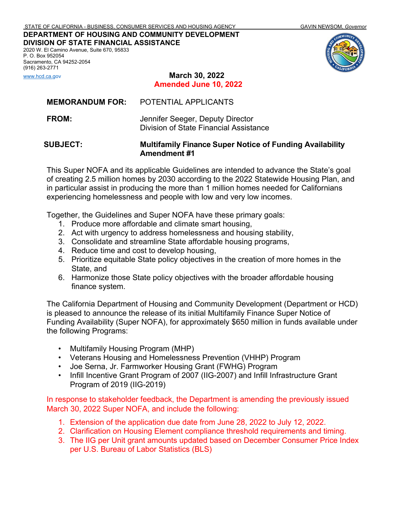**DEPARTMENT OF HOUSING AND COMMUNITY DEVELOPMENT DIVISION OF STATE FINANCIAL ASSISTANCE**

2020 W. El Camino Avenue, Suite 670, 95833 P. O. Box 952054 Sacramento, CA 94252-2054 (916) 263-2771



[www.hcd.ca.gov](http://www.hcd.ca.gov/) **March 30, 2022 Amended June 10, 2022**

| <b>SUBJECT:</b>        | <b>Multifamily Finance Super Notice of Funding Availability</b><br><b>Amendment #1</b> |
|------------------------|----------------------------------------------------------------------------------------|
| <b>FROM:</b>           | Jennifer Seeger, Deputy Director<br>Division of State Financial Assistance             |
| <b>MEMORANDUM FOR:</b> | POTENTIAL APPLICANTS                                                                   |

This Super NOFA and its applicable Guidelines are intended to advance the State's goal of creating 2.5 million homes by 2030 according to the 2022 Statewide Housing Plan, and in particular assist in producing the more than 1 million homes needed for Californians experiencing homelessness and people with low and very low incomes.

Together, the Guidelines and Super NOFA have these primary goals:

- 1. Produce more affordable and climate smart housing,
- 2. Act with urgency to address homelessness and housing stability,
- 3. Consolidate and streamline State affordable housing programs,
- 4. Reduce time and cost to develop housing,
- 5. Prioritize equitable State policy objectives in the creation of more homes in the State, and
- 6. Harmonize those State policy objectives with the broader affordable housing finance system.

The California Department of Housing and Community Development (Department or HCD) is pleased to announce the release of its initial Multifamily Finance Super Notice of Funding Availability (Super NOFA), for approximately \$650 million in funds available under the following Programs:

- Multifamily Housing Program (MHP)
- Veterans Housing and Homelessness Prevention (VHHP) Program
- Joe Serna, Jr. Farmworker Housing Grant (FWHG) Program
- Infill Incentive Grant Program of 2007 (IIG-2007) and Infill Infrastructure Grant Program of 2019 (IIG-2019)

In response to stakeholder feedback, the Department is amending the previously issued March 30, 2022 Super NOFA, and include the following:

- 1. Extension of the application due date from June 28, 2022 to July 12, 2022.
- 2. Clarification on Housing Element compliance threshold requirements and timing.
- 3. The IIG per Unit grant amounts updated based [on December Consumer Price Index](https://data.bls.gov/pdq/SurveyOutputServlet?data_tool=dropmap&series_id=CUUR0400SA0,CUU) per U.S. Bureau of Labor Statistics (BLS)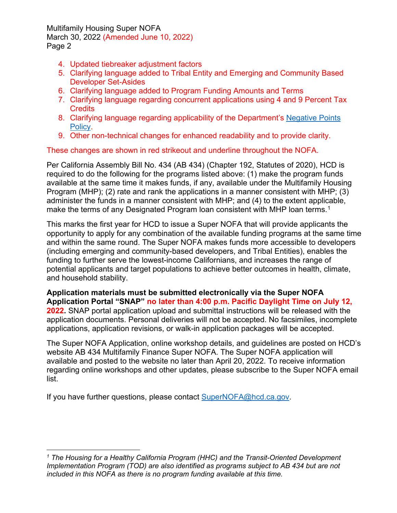Multifamily Housing Super NOFA March 30, 2022 (Amended June 10, 2022) Page 2

- 4. Updated tiebreaker adjustment factors
- 5. Clarifying language added to Tribal Entity and Emerging and Community Based Developer Set-Asides
- 6. Clarifying language added to Program Funding Amounts and Terms
- 7. Clarifying language regarding concurrent applications using 4 and 9 Percent Tax **Credits**
- 8. Clarifying language regarding applicability of the Department's [Negative Points](https://www.hcd.ca.gov/sites/default/files/2022-04/Negative-Points-Policy-FINAL-33022_ADA.pdf)  [Policy.](https://www.hcd.ca.gov/sites/default/files/2022-04/Negative-Points-Policy-FINAL-33022_ADA.pdf)
- 9. Other non-technical changes for enhanced readability and to provide clarity.

These changes are shown in red strikeout and underline throughout the NOFA.

Per California Assembly Bill No. 434 (AB 434) (Chapter 192, Statutes of 2020), HCD is required to do the following for the programs listed above: (1) make the program funds available at the same time it makes funds, if any, available under the Multifamily Housing Program (MHP); (2) rate and rank the applications in a manner consistent with MHP; (3) administer the funds in a manner consistent with MHP; and (4) to the extent applicable, make the terms of any Designated Program loan consistent with MHP loan terms. [1](#page-1-0)

This marks the first year for HCD to issue a Super NOFA that will provide applicants the opportunity to apply for any combination of the available funding programs at the same time and within the same round. The Super NOFA makes funds more accessible to developers (including emerging and community-based developers, and Tribal Entities), enables the funding to further serve the lowest-income Californians, and increases the range of potential applicants and target populations to achieve better outcomes in health, climate, and household stability.

**Application materials must be submitted electronically via the Super NOFA Application Portal "SNAP" no later than 4:00 p.m. Pacific Daylight Time on July 12, 2022.** SNAP portal application upload and submittal instructions will be released with the application documents. Personal deliveries will not be accepted. No facsimiles, incomplete applications, application revisions, or walk-in application packages will be accepted.

The Super NOFA Application, online workshop details, and guidelines are posted on HCD's website AB 434 Multifamily Finance Super NOFA. The Super NOFA application will available and posted to the website no later than April 20, 2022. To receive information regarding online workshops and other updates, please subscribe to the Super NOFA email list.

If you have further questions, please contact [SuperNOFA@hcd.ca.gov.](mailto:SuperNOFA@hcd.ca.gov)

<span id="page-1-0"></span>*<sup>1</sup> The Housing for a Healthy California Program (HHC) and the Transit-Oriented Development Implementation Program (TOD) are also identified as programs subject to AB 434 but are not included in this NOFA as there is no program funding available at this time.*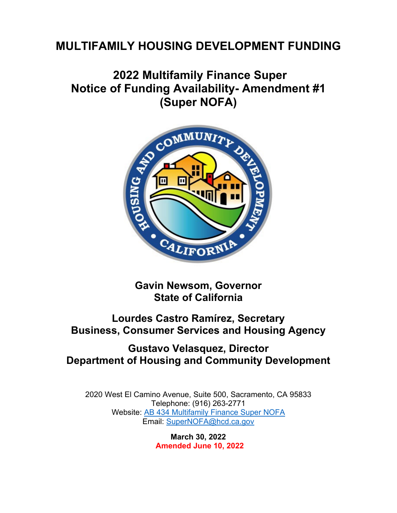# **MULTIFAMILY HOUSING DEVELOPMENT FUNDING**

# **2022 Multifamily Finance Super Notice of Funding Availability- Amendment #1 (Super NOFA)**



**Gavin Newsom, Governor State of California**

## **Lourdes Castro Ramírez, Secretary Business, Consumer Services and Housing Agency**

## **Gustavo Velasquez, Director Department of Housing and Community Development**

2020 West El Camino Avenue, Suite 500, Sacramento, CA 95833 Telephone: (916) 263-2771 Website: [AB 434 Multifamily Finance Super NOFA](https://hcd.ca.gov/multifamily-finance-supernofa) Email: [SuperNOFA@hcd.ca.gov](mailto:SuperNOFA@hcd.ca.gov.)

> **March 30, 2022 Amended June 10, 2022**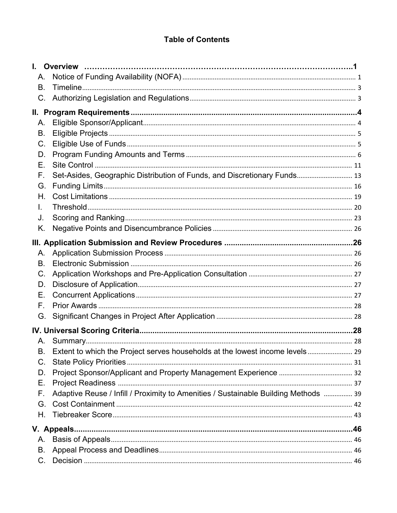## **Table of Contents**

| А.          |                                                                                     |  |
|-------------|-------------------------------------------------------------------------------------|--|
| Β.          |                                                                                     |  |
| C.          |                                                                                     |  |
|             |                                                                                     |  |
| Α.          |                                                                                     |  |
| В.          |                                                                                     |  |
| C.          |                                                                                     |  |
| D.          |                                                                                     |  |
| Е.          |                                                                                     |  |
| F.          | Set-Asides, Geographic Distribution of Funds, and Discretionary Funds 13            |  |
| G.          |                                                                                     |  |
| Η.          |                                                                                     |  |
| L.          |                                                                                     |  |
| J.          |                                                                                     |  |
| K.          |                                                                                     |  |
|             |                                                                                     |  |
| А.          |                                                                                     |  |
| В.          |                                                                                     |  |
| C.          |                                                                                     |  |
| D.          |                                                                                     |  |
| Е.          |                                                                                     |  |
| F.          |                                                                                     |  |
| G.          |                                                                                     |  |
|             |                                                                                     |  |
| Α.          |                                                                                     |  |
| В.          | Extent to which the Project serves households at the lowest income levels 29        |  |
| $C_{\cdot}$ |                                                                                     |  |
| D.          |                                                                                     |  |
| Е.          |                                                                                     |  |
| F.          | Adaptive Reuse / Infill / Proximity to Amenities / Sustainable Building Methods  39 |  |
| G.          |                                                                                     |  |
| Η.          |                                                                                     |  |
|             |                                                                                     |  |
| А.          |                                                                                     |  |
| В.          |                                                                                     |  |
| $C_{\cdot}$ |                                                                                     |  |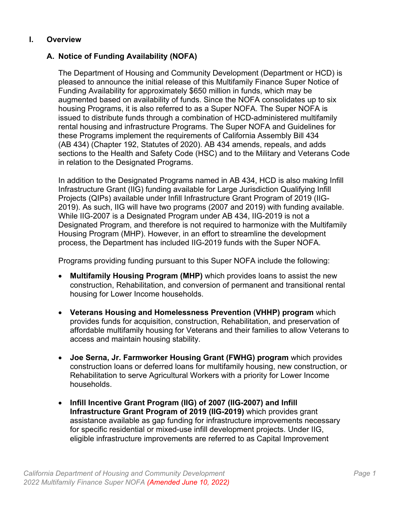## **I. Overview**

## <span id="page-5-1"></span><span id="page-5-0"></span>**A. Notice of Funding Availability (NOFA)**

The Department of Housing and Community Development (Department or HCD) is pleased to announce the initial release of this Multifamily Finance Super Notice of Funding Availability for approximately \$650 million in funds, which may be augmented based on availability of funds. Since the NOFA consolidates up to six housing Programs, it is also referred to as a Super NOFA. The Super NOFA is issued to distribute funds through a combination of HCD-administered multifamily rental housing and infrastructure Programs. The Super NOFA and Guidelines for these Programs implement the requirements of California Assembly Bill 434 (AB 434) (Chapter 192, Statutes of 2020). AB 434 amends, repeals, and adds sections to the Health and Safety Code (HSC) and to the Military and Veterans Code in relation to the Designated Programs.

In addition to the Designated Programs named in AB 434, HCD is also making Infill Infrastructure Grant (IIG) funding available for Large Jurisdiction Qualifying Infill Projects (QIPs) available under Infill Infrastructure Grant Program of 2019 (IIG-2019). As such, IIG will have two programs (2007 and 2019) with funding available. While IIG-2007 is a Designated Program under AB 434, IIG-2019 is not a Designated Program, and therefore is not required to harmonize with the Multifamily Housing Program (MHP). However, in an effort to streamline the development process, the Department has included IIG-2019 funds with the Super NOFA.

Programs providing funding pursuant to this Super NOFA include the following:

- **Multifamily Housing Program (MHP)** which provides loans to assist the new construction, Rehabilitation, and conversion of permanent and transitional rental housing for Lower Income households.
- **Veterans Housing and Homelessness Prevention (VHHP) program** which provides funds for acquisition, construction, Rehabilitation, and preservation of affordable multifamily housing for Veterans and their families to allow Veterans to access and maintain housing stability.
- **Joe Serna, Jr. Farmworker Housing Grant (FWHG) program** which provides construction loans or deferred loans for multifamily housing, new construction, or Rehabilitation to serve Agricultural Workers with a priority for Lower Income households.
- **Infill Incentive Grant Program (IIG) of 2007 (IIG-2007) and Infill Infrastructure Grant Program of 2019 (IIG-2019)** which provides grant assistance available as gap funding for infrastructure improvements necessary for specific residential or mixed-use infill development projects. Under IIG, eligible infrastructure improvements are referred to as Capital Improvement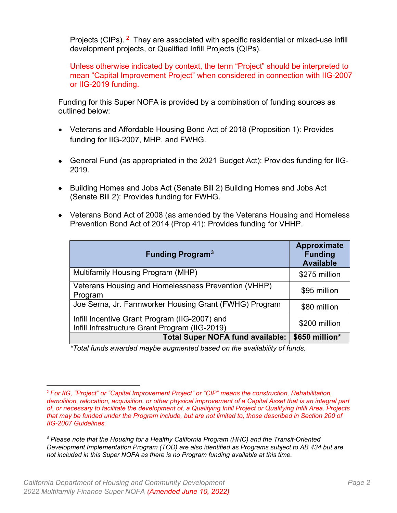Projects (CIPs). <sup>[2](#page-6-0)</sup> They are associated with specific residential or mixed-use infill development projects, or Qualified Infill Projects (QIPs).

Unless otherwise indicated by context, the term "Project" should be interpreted to mean "Capital Improvement Project" when considered in connection with IIG-2007 or IIG-2019 funding.

Funding for this Super NOFA is provided by a combination of funding sources as outlined below:

- Veterans and Affordable Housing Bond Act of 2018 (Proposition 1): Provides funding for IIG-2007, MHP, and FWHG.
- General Fund (as appropriated in the 2021 Budget Act): Provides funding for IIG-2019.
- Building Homes and Jobs Act (Senate Bill 2) Building Homes and Jobs Act (Senate Bill 2): Provides funding for FWHG.
- Veterans Bond Act of 2008 (as amended by the Veterans Housing and Homeless Prevention Bond Act of 2014 (Prop 41): Provides funding for VHHP.

| <b>Funding Program<sup>3</sup></b>                                                              | Approximate<br><b>Funding</b><br><b>Available</b> |
|-------------------------------------------------------------------------------------------------|---------------------------------------------------|
| Multifamily Housing Program (MHP)                                                               | \$275 million                                     |
| Veterans Housing and Homelessness Prevention (VHHP)<br>Program                                  | \$95 million                                      |
| Joe Serna, Jr. Farmworker Housing Grant (FWHG) Program                                          | \$80 million                                      |
| Infill Incentive Grant Program (IIG-2007) and<br>Infill Infrastructure Grant Program (IIG-2019) | \$200 million                                     |
| <b>Total Super NOFA fund available:</b>                                                         | \$650 million*                                    |

*\*Total funds awarded maybe augmented based on the availability of funds.*

<span id="page-6-0"></span><sup>2</sup> *For IIG, "Project" or "Capital Improvement Project" or "CIP" means the construction, Rehabilitation, demolition, relocation, acquisition, or other physical improvement of a Capital Asset that is an integral part of, or necessary to facilitate the development of, a Qualifying Infill Project or Qualifying Infill Area. Projects that may be funded under the Program include, but are not limited to, those described in Section 200 of IIG-2007 Guidelines.*

<span id="page-6-1"></span><sup>3</sup> *Please note that the Housing for a Healthy California Program (HHC) and the Transit-Oriented Development Implementation Program (TOD) are also identified as Programs subject to AB 434 but are not included in this Super NOFA as there is no Program funding available at this time.*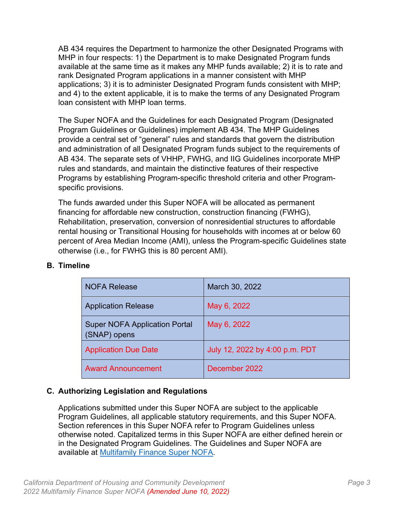AB 434 requires the Department to harmonize the other Designated Programs with MHP in four respects: 1) the Department is to make Designated Program funds available at the same time as it makes any MHP funds available; 2) it is to rate and rank Designated Program applications in a manner consistent with MHP applications; 3) it is to administer Designated Program funds consistent with MHP; and 4) to the extent applicable, it is to make the terms of any Designated Program loan consistent with MHP loan terms.

The Super NOFA and the Guidelines for each Designated Program (Designated Program Guidelines or Guidelines) implement AB 434. The MHP Guidelines provide a central set of "general" rules and standards that govern the distribution and administration of all Designated Program funds subject to the requirements of AB 434. The separate sets of VHHP, FWHG, and IIG Guidelines incorporate MHP rules and standards, and maintain the distinctive features of their respective Programs by establishing Program-specific threshold criteria and other Programspecific provisions.

The funds awarded under this Super NOFA will be allocated as permanent financing for affordable new construction, construction financing (FWHG), Rehabilitation, preservation, conversion of nonresidential structures to affordable rental housing or Transitional Housing for households with incomes at or below 60 percent of Area Median Income (AMI), unless the Program-specific Guidelines state otherwise (i.e., for FWHG this is 80 percent AMI).

| <b>NOFA Release</b>                                  | March 30, 2022                 |
|------------------------------------------------------|--------------------------------|
| <b>Application Release</b>                           | May 6, 2022                    |
| <b>Super NOFA Application Portal</b><br>(SNAP) opens | May 6, 2022                    |
| <b>Application Due Date</b>                          | July 12, 2022 by 4:00 p.m. PDT |
| <b>Award Announcement</b>                            | December 2022                  |

## <span id="page-7-0"></span>**B. Timeline**

## <span id="page-7-1"></span>**C. Authorizing Legislation and Regulations**

Applications submitted under this Super NOFA are subject to the applicable Program Guidelines, all applicable statutory requirements, and this Super NOFA. Section references in this Super NOFA refer to Program Guidelines unless otherwise noted. Capitalized terms in this Super NOFA are either defined herein or in the Designated Program Guidelines. The Guidelines and Super NOFA are available at [Multifamily Finance Super NOFA.](https://hcd.ca.gov/multifamily-finance-supernofa)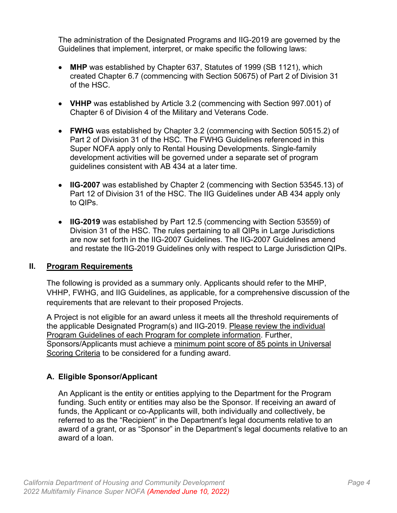The administration of the Designated Programs and IIG-2019 are governed by the Guidelines that implement, interpret, or make specific the following laws:

- **MHP** was established by Chapter 637, Statutes of 1999 (SB 1121), which created Chapter 6.7 (commencing with Section 50675) of Part 2 of Division 31 of the HSC.
- **VHHP** was established by Article 3.2 (commencing with Section 997.001) of Chapter 6 of Division 4 of the Military and Veterans Code.
- **FWHG** was established by Chapter 3.2 (commencing with Section 50515.2) of Part 2 of Division 31 of the HSC. The FWHG Guidelines referenced in this Super NOFA apply only to Rental Housing Developments. Single-family development activities will be governed under a separate set of program guidelines consistent with AB 434 at a later time.
- **IIG-2007** was established by Chapter 2 (commencing with Section 53545.13) of Part 12 of Division 31 of the HSC. The IIG Guidelines under AB 434 apply only to QIPs.
- **IIG-2019** was established by Part 12.5 (commencing with Section 53559) of Division 31 of the HSC. The rules pertaining to all QIPs in Large Jurisdictions are now set forth in the IIG-2007 Guidelines. The IIG-2007 Guidelines amend and restate the IIG-2019 Guidelines only with respect to Large Jurisdiction QIPs.

## <span id="page-8-0"></span>**II. Program Requirements**

The following is provided as a summary only. Applicants should refer to the MHP, VHHP, FWHG, and IIG Guidelines, as applicable, for a comprehensive discussion of the requirements that are relevant to their proposed Projects.

A Project is not eligible for an award unless it meets all the threshold requirements of the applicable Designated Program(s) and IIG-2019. Please review the individual Program Guidelines of each Program for complete information. Further, Sponsors/Applicants must achieve a minimum point score of 85 points in Universal Scoring Criteria to be considered for a funding award.

## <span id="page-8-1"></span>**A. Eligible Sponsor/Applicant**

An Applicant is the entity or entities applying to the Department for the Program funding. Such entity or entities may also be the Sponsor. If receiving an award of funds, the Applicant or co-Applicants will, both individually and collectively, be referred to as the "Recipient" in the Department's legal documents relative to an award of a grant, or as "Sponsor" in the Department's legal documents relative to an award of a loan.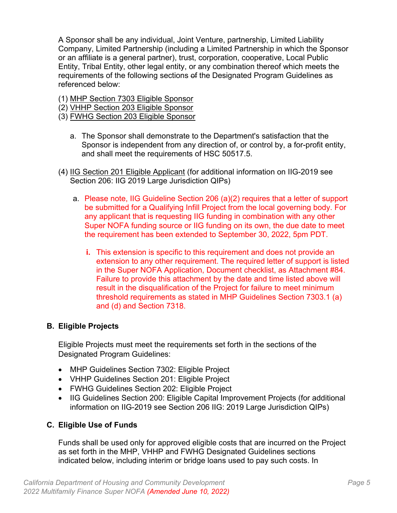A Sponsor shall be any individual, Joint Venture, partnership, Limited Liability Company, Limited Partnership (including a Limited Partnership in which the Sponsor or an affiliate is a general partner), trust, corporation, cooperative, Local Public Entity, Tribal Entity, other legal entity, or any combination thereof which meets the requirements of the following sections of the Designated Program Guidelines as referenced below:

- (1) MHP Section 7303 Eligible Sponsor
- (2) VHHP Section 203 Eligible Sponsor
- (3) FWHG Section 203 Eligible Sponsor
	- a. The Sponsor shall demonstrate to the Department's satisfaction that the Sponsor is independent from any direction of, or control by, a for-profit entity, and shall meet the requirements of HSC 50517.5.
- (4) IIG Section 201 Eligible Applicant (for additional information on IIG-2019 see Section 206: IIG 2019 Large Jurisdiction QIPs)
	- a. Please note, IIG Guideline Section 206 (a)(2) requires that a letter of support be submitted for a Qualifying Infill Project from the local governing body. For any applicant that is requesting IIG funding in combination with any other Super NOFA funding source or IIG funding on its own, the due date to meet the requirement has been extended to September 30, 2022, 5pm PDT.
		- **i.** This extension is specific to this requirement and does not provide an extension to any other requirement. The required letter of support is listed in the Super NOFA Application, Document checklist, as Attachment #84. Failure to provide this attachment by the date and time listed above will result in the disqualification of the Project for failure to meet minimum threshold requirements as stated in MHP Guidelines Section 7303.1 (a) and (d) and Section 7318.

## <span id="page-9-0"></span>**B. Eligible Projects**

Eligible Projects must meet the requirements set forth in the sections of the Designated Program Guidelines:

- MHP Guidelines Section 7302: Eligible Project
- VHHP Guidelines Section 201: Eligible Project
- FWHG Guidelines Section 202: Eligible Project
- IIG Guidelines Section 200: Eligible Capital Improvement Projects (for additional information on IIG-2019 see Section 206 IIG: 2019 Large Jurisdiction QIPs)

## <span id="page-9-1"></span>**C. Eligible Use of Funds**

Funds shall be used only for approved eligible costs that are incurred on the Project as set forth in the MHP, VHHP and FWHG Designated Guidelines sections indicated below, including interim or bridge loans used to pay such costs. In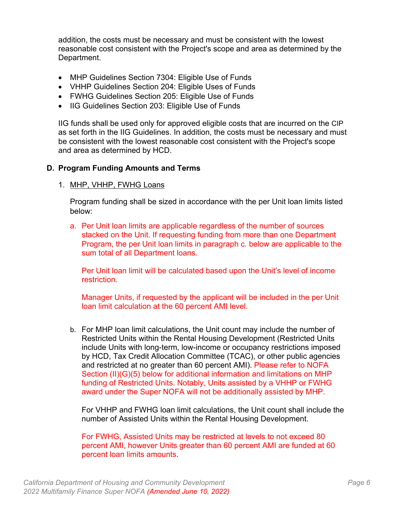addition, the costs must be necessary and must be consistent with the lowest reasonable cost consistent with the Project's scope and area as determined by the Department.

- MHP Guidelines Section 7304: Eligible Use of Funds
- VHHP Guidelines Section 204: Eligible Uses of Funds
- FWHG Guidelines Section 205: Eligible Use of Funds
- IIG Guidelines Section 203: Eligible Use of Funds

IIG funds shall be used only for approved eligible costs that are incurred on the CIP as set forth in the IIG Guidelines. In addition, the costs must be necessary and must be consistent with the lowest reasonable cost consistent with the Project's scope and area as determined by HCD.

## <span id="page-10-0"></span>**D. Program Funding Amounts and Terms**

#### 1. MHP, VHHP, FWHG Loans

Program funding shall be sized in accordance with the per Unit loan limits listed below:

a. Per Unit loan limits are applicable regardless of the number of sources stacked on the Unit. If requesting funding from more than one Department Program, the per Unit loan limits in paragraph c. below are applicable to the sum total of all Department loans.

Per Unit loan limit will be calculated based upon the Unit's level of income restriction.

Manager Units, if requested by the applicant will be included in the per Unit loan limit calculation at the 60 percent AMI level.

b. For MHP loan limit calculations, the Unit count may include the number of Restricted Units within the Rental Housing Development (Restricted Units include Units with long-term, low-income or occupancy restrictions imposed by HCD, Tax Credit Allocation Committee (TCAC), or other public agencies and restricted at no greater than 60 percent AMI). Please refer to NOFA Section (II)(G)(5) below for additional information and limitations on MHP funding of Restricted Units. Notably, Units assisted by a VHHP or FWHG award under the Super NOFA will not be additionally assisted by MHP.

For VHHP and FWHG loan limit calculations, the Unit count shall include the number of Assisted Units within the Rental Housing Development.

For FWHG, Assisted Units may be restricted at levels to not exceed 80 percent AMI, however Units greater than 60 percent AMI are funded at 60 percent loan limits amounts.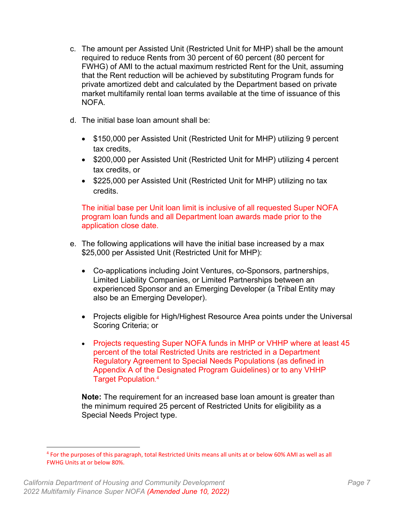- c. The amount per Assisted Unit (Restricted Unit for MHP) shall be the amount required to reduce Rents from 30 percent of 60 percent (80 percent for FWHG) of AMI to the actual maximum restricted Rent for the Unit, assuming that the Rent reduction will be achieved by substituting Program funds for private amortized debt and calculated by the Department based on private market multifamily rental loan terms available at the time of issuance of this NOFA.
- d. The initial base loan amount shall be:
	- \$150,000 per Assisted Unit (Restricted Unit for MHP) utilizing 9 percent tax credits,
	- \$200,000 per Assisted Unit (Restricted Unit for MHP) utilizing 4 percent tax credits, or
	- \$225,000 per Assisted Unit (Restricted Unit for MHP) utilizing no tax credits.

The initial base per Unit loan limit is inclusive of all requested Super NOFA program loan funds and all Department loan awards made prior to the application close date.

- e. The following applications will have the initial base increased by a max \$25,000 per Assisted Unit (Restricted Unit for MHP):
	- Co-applications including Joint Ventures, co-Sponsors, partnerships, Limited Liability Companies, or Limited Partnerships between an experienced Sponsor and an Emerging Developer (a Tribal Entity may also be an Emerging Developer).
	- Projects eligible for High/Highest Resource Area points under the Universal Scoring Criteria; or
	- Projects requesting Super NOFA funds in MHP or VHHP where at least 45 percent of the total Restricted Units are restricted in a Department Regulatory Agreement to Special Needs Populations (as defined in Appendix A of the Designated Program Guidelines) or to any VHHP Target Population. [4](#page-11-0)

**Note:** The requirement for an increased base loan amount is greater than the minimum required 25 percent of Restricted Units for eligibility as a Special Needs Project type.

<span id="page-11-0"></span><sup>4</sup> For the purposes of this paragraph, total Restricted Units means all units at or below 60% AMI as well as all FWHG Units at or below 80%.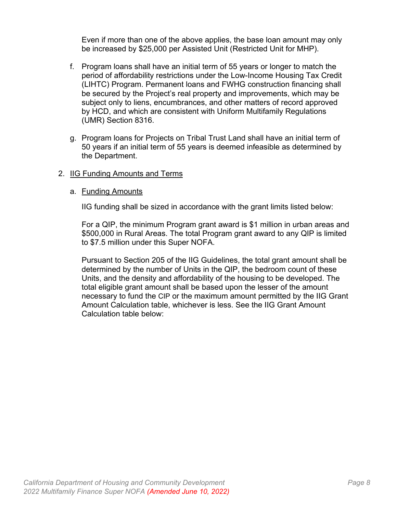Even if more than one of the above applies, the base loan amount may only be increased by \$25,000 per Assisted Unit (Restricted Unit for MHP).

- f. Program loans shall have an initial term of 55 years or longer to match the period of affordability restrictions under the Low-Income Housing Tax Credit (LIHTC) Program. Permanent loans and FWHG construction financing shall be secured by the Project's real property and improvements, which may be subject only to liens, encumbrances, and other matters of record approved by HCD, and which are consistent with Uniform Multifamily Regulations (UMR) Section 8316.
- g. Program loans for Projects on Tribal Trust Land shall have an initial term of 50 years if an initial term of 55 years is deemed infeasible as determined by the Department.

#### 2. IIG Funding Amounts and Terms

#### a. Funding Amounts

IIG funding shall be sized in accordance with the grant limits listed below:

For a QIP, the minimum Program grant award is \$1 million in urban areas and \$500,000 in Rural Areas. The total Program grant award to any QIP is limited to \$7.5 million under this Super NOFA.

Pursuant to Section 205 of the IIG Guidelines, the total grant amount shall be determined by the number of Units in the QIP, the bedroom count of these Units, and the density and affordability of the housing to be developed. The total eligible grant amount shall be based upon the lesser of the amount necessary to fund the CIP or the maximum amount permitted by the IIG Grant Amount Calculation table, whichever is less. See the IIG Grant Amount Calculation table below: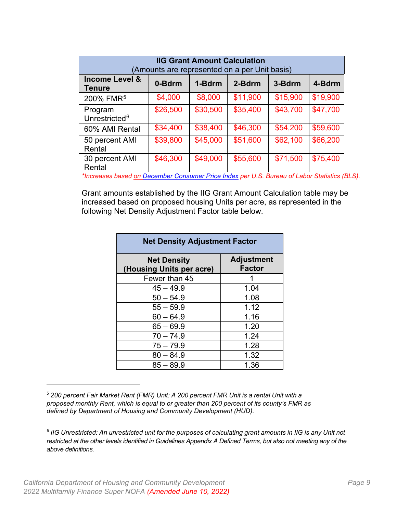| <b>IIG Grant Amount Calculation</b><br>(Amounts are represented on a per Unit basis) |          |          |          |          |          |
|--------------------------------------------------------------------------------------|----------|----------|----------|----------|----------|
| <b>Income Level &amp;</b><br><b>Tenure</b>                                           | 0-Bdrm   | 1-Bdrm   | 2-Bdrm   | 3-Bdrm   | 4-Bdrm   |
| 200% FMR <sup>5</sup>                                                                | \$4,000  | \$8,000  | \$11,900 | \$15,900 | \$19,900 |
| Program<br>Unrestricted <sup>6</sup>                                                 | \$26,500 | \$30,500 | \$35,400 | \$43,700 | \$47,700 |
| 60% AMI Rental                                                                       | \$34,400 | \$38,400 | \$46,300 | \$54,200 | \$59,600 |
| 50 percent AMI<br>Rental                                                             | \$39,800 | \$45,000 | \$51,600 | \$62,100 | \$66,200 |
| 30 percent AMI<br>Rental                                                             | \$46,300 | \$49,000 | \$55,600 | \$71,500 | \$75,400 |

*\*Increases based [on December Consumer Price Index](https://data.bls.gov/pdq/SurveyOutputServlet?data_tool=dropmap&series_id=CUUR0400SA0,CUU) per U.S. Bureau of Labor Statistics (BLS).*

Grant amounts established by the IIG Grant Amount Calculation table may be increased based on proposed housing Units per acre, as represented in the following Net Density Adjustment Factor table below.

| <b>Net Density Adjustment Factor</b>           |                                    |  |
|------------------------------------------------|------------------------------------|--|
| <b>Net Density</b><br>(Housing Units per acre) | <b>Adjustment</b><br><b>Factor</b> |  |
| Fewer than 45                                  |                                    |  |
| $45 - 49.9$                                    | 1.04                               |  |
| $50 - 54.9$                                    | 1.08                               |  |
| $55 - 59.9$                                    | 1.12                               |  |
| $60 - 64.9$                                    | 1.16                               |  |
| $65 - 69.9$                                    | 1.20                               |  |
| $70 - 74.9$                                    | 1.24                               |  |
| $75 - 79.9$                                    | 1.28                               |  |
| $80 - 84.9$                                    | 1.32                               |  |
| $85 - 89.9$                                    | 1.36                               |  |

<span id="page-13-0"></span><sup>5</sup> *200 percent Fair Market Rent (FMR) Unit: A 200 percent FMR Unit is a rental Unit with a proposed monthly Rent, which is equal to or greater than 200 percent of its county's FMR as defined by Department of Housing and Community Development (HUD).* 

<span id="page-13-1"></span><sup>&</sup>lt;sup>6</sup> IIG Unrestricted: An unrestricted unit for the purposes of calculating grant amounts in IIG is any Unit not *restricted at the other levels identified in Guidelines Appendix A Defined Terms, but also not meeting any of the above definitions.*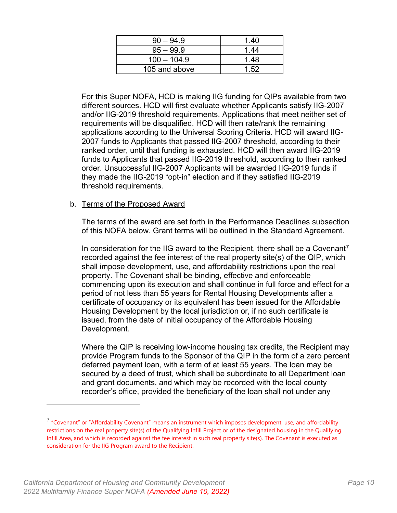| $90 - 94.9$   | 1.40 |
|---------------|------|
| $95 - 99.9$   | 1.44 |
| $100 - 104.9$ | 1.48 |
| 105 and above | 1.52 |

For this Super NOFA, HCD is making IIG funding for QIPs available from two different sources. HCD will first evaluate whether Applicants satisfy IIG-2007 and/or IIG-2019 threshold requirements. Applications that meet neither set of requirements will be disqualified. HCD will then rate/rank the remaining applications according to the Universal Scoring Criteria. HCD will award IIG-2007 funds to Applicants that passed IIG-2007 threshold, according to their ranked order, until that funding is exhausted. HCD will then award IIG-2019 funds to Applicants that passed IIG-2019 threshold, according to their ranked order. Unsuccessful IIG-2007 Applicants will be awarded IIG-2019 funds if they made the IIG-2019 "opt-in" election and if they satisfied IIG-2019 threshold requirements.

#### b. Terms of the Proposed Award

The terms of the award are set forth in the Performance Deadlines subsection of this NOFA below. Grant terms will be outlined in the Standard Agreement.

In consideration for the IIG award to the Recipient, there shall be a Covenant<sup>[7](#page-14-0)</sup> recorded against the fee interest of the real property site(s) of the QIP, which shall impose development, use, and affordability restrictions upon the real property. The Covenant shall be binding, effective and enforceable commencing upon its execution and shall continue in full force and effect for a period of not less than 55 years for Rental Housing Developments after a certificate of occupancy or its equivalent has been issued for the Affordable Housing Development by the local jurisdiction or, if no such certificate is issued, from the date of initial occupancy of the Affordable Housing Development.

Where the QIP is receiving low-income housing tax credits, the Recipient may provide Program funds to the Sponsor of the QIP in the form of a zero percent deferred payment loan, with a term of at least 55 years. The loan may be secured by a deed of trust, which shall be subordinate to all Department loan and grant documents, and which may be recorded with the local county recorder's office, provided the beneficiary of the loan shall not under any

<span id="page-14-0"></span> $7$  "Covenant" or "Affordability Covenant" means an instrument which imposes development, use, and affordability restrictions on the real property site(s) of the Qualifying Infill Project or of the designated housing in the Qualifying Infill Area, and which is recorded against the fee interest in such real property site(s). The Covenant is executed as consideration for the IIG Program award to the Recipient.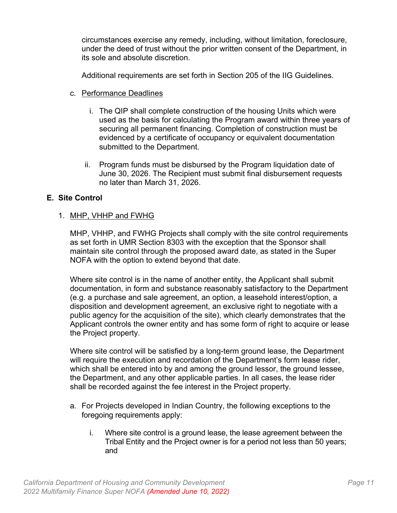circumstances exercise any remedy, including, without limitation, foreclosure, under the deed of trust without the prior written consent of the Department, in its sole and absolute discretion.

Additional requirements are set forth in Section 205 of the IIG Guidelines.

- c. Performance Deadlines
	- i. The QIP shall complete construction of the housing Units which were used as the basis for calculating the Program award within three years of securing all permanent financing. Completion of construction must be evidenced by a certificate of occupancy or equivalent documentation submitted to the Department.
	- ii. Program funds must be disbursed by the Program liquidation date of June 30, 2026. The Recipient must submit final disbursement requests no later than March 31, 2026.

## <span id="page-15-0"></span>**E. Site Control**

## 1. MHP, VHHP and FWHG

MHP, VHHP, and FWHG Projects shall comply with the site control requirements as set forth in UMR Section 8303 with the exception that the Sponsor shall maintain site control through the proposed award date, as stated in the Super NOFA with the option to extend beyond that date.

Where site control is in the name of another entity, the Applicant shall submit documentation, in form and substance reasonably satisfactory to the Department (e.g. a purchase and sale agreement, an option, a leasehold interest/option, a disposition and development agreement, an exclusive right to negotiate with a public agency for the acquisition of the site), which clearly demonstrates that the Applicant controls the owner entity and has some form of right to acquire or lease the Project property.

Where site control will be satisfied by a long-term ground lease, the Department will require the execution and recordation of the Department's form lease rider, which shall be entered into by and among the ground lessor, the ground lessee, the Department, and any other applicable parties. In all cases, the lease rider shall be recorded against the fee interest in the Project property.

- a. For Projects developed in Indian Country, the following exceptions to the foregoing requirements apply:
	- i. Where site control is a ground lease, the lease agreement between the Tribal Entity and the Project owner is for a period not less than 50 years; and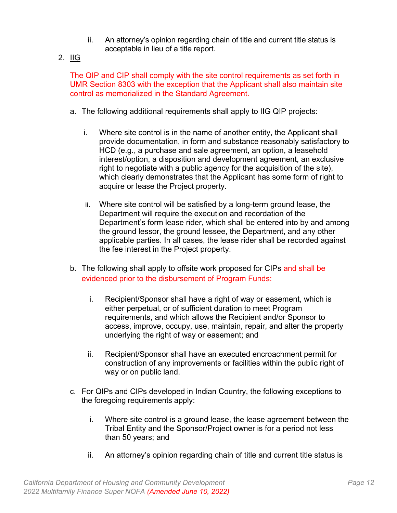- ii. An attorney's opinion regarding chain of title and current title status is acceptable in lieu of a title report.
- 2. IIG

The QIP and CIP shall comply with the site control requirements as set forth in UMR Section 8303 with the exception that the Applicant shall also maintain site control as memorialized in the Standard Agreement.

- a. The following additional requirements shall apply to IIG QIP projects:
	- i. Where site control is in the name of another entity, the Applicant shall provide documentation, in form and substance reasonably satisfactory to HCD (e.g., a purchase and sale agreement, an option, a leasehold interest/option, a disposition and development agreement, an exclusive right to negotiate with a public agency for the acquisition of the site), which clearly demonstrates that the Applicant has some form of right to acquire or lease the Project property.
	- ii. Where site control will be satisfied by a long-term ground lease, the Department will require the execution and recordation of the Department's form lease rider, which shall be entered into by and among the ground lessor, the ground lessee, the Department, and any other applicable parties. In all cases, the lease rider shall be recorded against the fee interest in the Project property.
- b. The following shall apply to offsite work proposed for CIPs and shall be evidenced prior to the disbursement of Program Funds:
	- i. Recipient/Sponsor shall have a right of way or easement, which is either perpetual, or of sufficient duration to meet Program requirements, and which allows the Recipient and/or Sponsor to access, improve, occupy, use, maintain, repair, and alter the property underlying the right of way or easement; and
	- ii. Recipient/Sponsor shall have an executed encroachment permit for construction of any improvements or facilities within the public right of way or on public land.
- c. For QIPs and CIPs developed in Indian Country, the following exceptions to the foregoing requirements apply:
	- i. Where site control is a ground lease, the lease agreement between the Tribal Entity and the Sponsor/Project owner is for a period not less than 50 years; and
	- ii. An attorney's opinion regarding chain of title and current title status is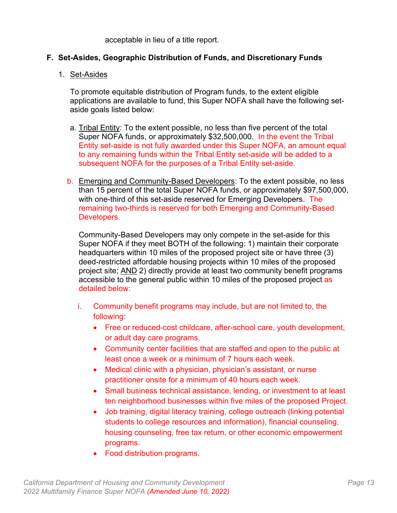acceptable in lieu of a title report.

## <span id="page-17-0"></span>**F. Set-Asides, Geographic Distribution of Funds, and Discretionary Funds**

#### 1. Set-Asides

To promote equitable distribution of Program funds, to the extent eligible applications are available to fund, this Super NOFA shall have the following setaside goals listed below:

- a. Tribal Entity: To the extent possible, no less than five percent of the total Super NOFA funds, or approximately \$32,500,000. In the event the Tribal Entity set-aside is not fully awarded under this Super NOFA, an amount equal to any remaining funds within the Tribal Entity set-aside will be added to a subsequent NOFA for the purposes of a Tribal Entity set-aside.
- b. Emerging and Community-Based Developers: To the extent possible, no less than 15 percent of the total Super NOFA funds, or approximately \$97,500,000, with one-third of this set-aside reserved for Emerging Developers. The remaining two-thirds is reserved for both Emerging and Community-Based Developers.

Community-Based Developers may only compete in the set-aside for this Super NOFA if they meet BOTH of the following: 1) maintain their corporate headquarters within 10 miles of the proposed project site or have three (3) deed-restricted affordable housing projects within 10 miles of the proposed project site; AND 2) directly provide at least two community benefit programs accessible to the general public within 10 miles of the proposed project as detailed below:

- i. Community benefit programs may include, but are not limited to, the following:
	- Free or reduced-cost childcare, after-school care, youth development, or adult day care programs.
	- Community center facilities that are staffed and open to the public at least once a week or a minimum of 7 hours each week.
	- Medical clinic with a physician, physician's assistant, or nurse practitioner onsite for a minimum of 40 hours each week.
	- Small business technical assistance, lending, or investment to at least ten neighborhood businesses within five miles of the proposed Project.
	- Job training, digital literacy training, college outreach (linking potential students to college resources and information), financial counseling, housing counseling, free tax return, or other economic empowerment programs.
	- Food distribution programs.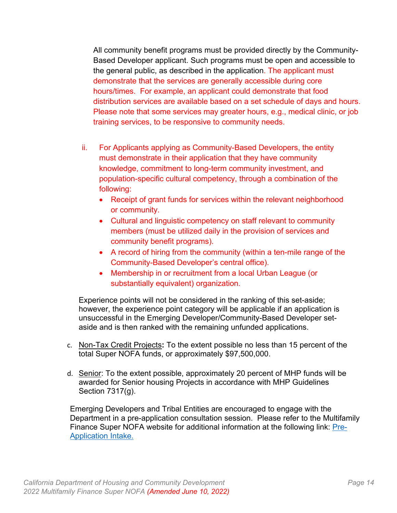All community benefit programs must be provided directly by the Community-Based Developer applicant. Such programs must be open and accessible to the general public, as described in the application. The applicant must demonstrate that the services are generally accessible during core hours/times. For example, an applicant could demonstrate that food distribution services are available based on a set schedule of days and hours. Please note that some services may greater hours, e.g., medical clinic, or job training services, to be responsive to community needs.

- ii. For Applicants applying as Community-Based Developers, the entity must demonstrate in their application that they have community knowledge, commitment to long-term community investment, and population-specific cultural competency, through a combination of the following:
	- Receipt of grant funds for services within the relevant neighborhood or community.
	- Cultural and linguistic competency on staff relevant to community members (must be utilized daily in the provision of services and community benefit programs).
	- A record of hiring from the community (within a ten-mile range of the Community-Based Developer's central office).
	- Membership in or recruitment from a local Urban League (or substantially equivalent) organization.

Experience points will not be considered in the ranking of this set-aside; however, the experience point category will be applicable if an application is unsuccessful in the Emerging Developer/Community-Based Developer setaside and is then ranked with the remaining unfunded applications.

- c. Non-Tax Credit Projects**:** To the extent possible no less than 15 percent of the total Super NOFA funds, or approximately \$97,500,000.
- d. Senior: To the extent possible, approximately 20 percent of MHP funds will be awarded for Senior housing Projects in accordance with MHP Guidelines Section 7317(g).

Emerging Developers and Tribal Entities are encouraged to engage with the Department in a pre-application consultation session. Please refer to the Multifamily Finance Super NOFA website for additional information at the following link: [Pre-](https://www.hcd.ca.gov/mff-pre-application-consultation)[Application Intake.](https://www.hcd.ca.gov/mff-pre-application-consultation)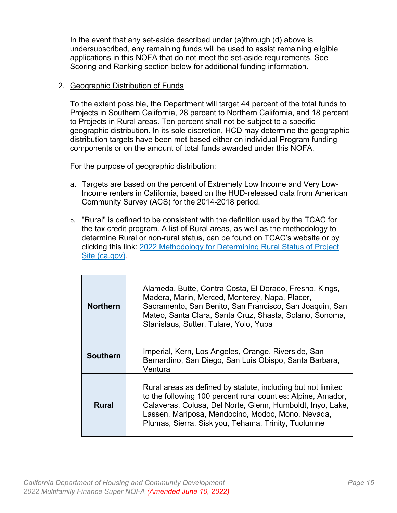In the event that any set-aside described under (a)through (d) above is undersubscribed, any remaining funds will be used to assist remaining eligible applications in this NOFA that do not meet the set-aside requirements. See Scoring and Ranking section below for additional funding information.

#### 2. Geographic Distribution of Funds

To the extent possible, the Department will target 44 percent of the total funds to Projects in Southern California, 28 percent to Northern California, and 18 percent to Projects in Rural areas. Ten percent shall not be subject to a specific geographic distribution. In its sole discretion, HCD may determine the geographic distribution targets have been met based either on individual Program funding components or on the amount of total funds awarded under this NOFA.

For the purpose of geographic distribution:

- a. Targets are based on the percent of Extremely Low Income and Very Low-Income renters in California, based on the HUD-released data from American Community Survey (ACS) for the 2014-2018 period.
- b. "Rural" is defined to be consistent with the definition used by the TCAC for the tax credit program. A list of Rural areas, as well as the methodology to determine Rural or non-rural status, can be found on TCAC's website or by clicking this link: [2022 Methodology for Determining Rural Status of Project](https://www.treasurer.ca.gov/ctcac/2022/rural-status.pdf)  [Site \(ca.gov\).](https://www.treasurer.ca.gov/ctcac/2022/rural-status.pdf)

| <b>Northern</b> | Alameda, Butte, Contra Costa, El Dorado, Fresno, Kings,<br>Madera, Marin, Merced, Monterey, Napa, Placer,<br>Sacramento, San Benito, San Francisco, San Joaquin, San<br>Mateo, Santa Clara, Santa Cruz, Shasta, Solano, Sonoma,<br>Stanislaus, Sutter, Tulare, Yolo, Yuba                              |
|-----------------|--------------------------------------------------------------------------------------------------------------------------------------------------------------------------------------------------------------------------------------------------------------------------------------------------------|
| <b>Southern</b> | Imperial, Kern, Los Angeles, Orange, Riverside, San<br>Bernardino, San Diego, San Luis Obispo, Santa Barbara,<br>Ventura                                                                                                                                                                               |
| <b>Rural</b>    | Rural areas as defined by statute, including but not limited<br>to the following 100 percent rural counties: Alpine, Amador,<br>Calaveras, Colusa, Del Norte, Glenn, Humboldt, Inyo, Lake,<br>Lassen, Mariposa, Mendocino, Modoc, Mono, Nevada,<br>Plumas, Sierra, Siskiyou, Tehama, Trinity, Tuolumne |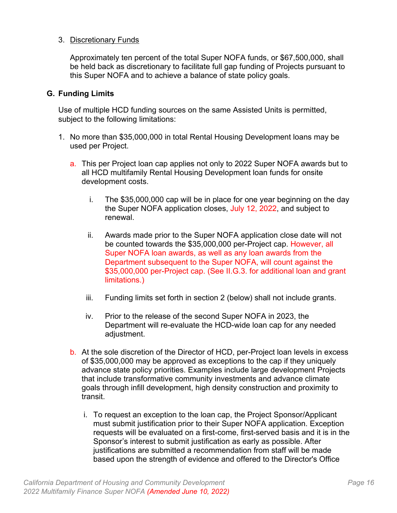#### 3. Discretionary Funds

Approximately ten percent of the total Super NOFA funds, or \$67,500,000, shall be held back as discretionary to facilitate full gap funding of Projects pursuant to this Super NOFA and to achieve a balance of state policy goals.

#### <span id="page-20-0"></span>**G. Funding Limits**

Use of multiple HCD funding sources on the same Assisted Units is permitted, subject to the following limitations:

- 1. No more than \$35,000,000 in total Rental Housing Development loans may be used per Project.
	- a. This per Project loan cap applies not only to 2022 Super NOFA awards but to all HCD multifamily Rental Housing Development loan funds for onsite development costs.
		- i. The \$35,000,000 cap will be in place for one year beginning on the day the Super NOFA application closes, July 12, 2022, and subject to renewal.
		- ii. Awards made prior to the Super NOFA application close date will not be counted towards the \$35,000,000 per-Project cap. However, all Super NOFA loan awards, as well as any loan awards from the Department subsequent to the Super NOFA, will count against the \$35,000,000 per-Project cap. (See II.G.3. for additional loan and grant limitations.)
		- iii. Funding limits set forth in section 2 (below) shall not include grants.
		- iv. Prior to the release of the second Super NOFA in 2023, the Department will re-evaluate the HCD-wide loan cap for any needed adjustment.
	- b. At the sole discretion of the Director of HCD, per-Project loan levels in excess of \$35,000,000 may be approved as exceptions to the cap if they uniquely advance state policy priorities. Examples include large development Projects that include transformative community investments and advance climate goals through infill development, high density construction and proximity to transit.
		- i. To request an exception to the loan cap, the Project Sponsor/Applicant must submit justification prior to their Super NOFA application. Exception requests will be evaluated on a first-come, first-served basis and it is in the Sponsor's interest to submit justification as early as possible. After justifications are submitted a recommendation from staff will be made based upon the strength of evidence and offered to the Director's Office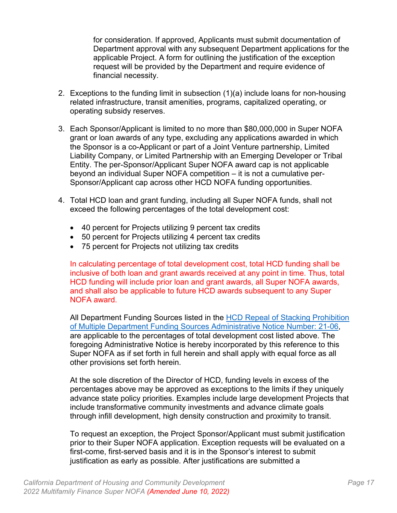for consideration. If approved, Applicants must submit documentation of Department approval with any subsequent Department applications for the applicable Project. A form for outlining the justification of the exception request will be provided by the Department and require evidence of financial necessity.

- 2. Exceptions to the funding limit in subsection (1)(a) include loans for non-housing related infrastructure, transit amenities, programs, capitalized operating, or operating subsidy reserves.
- 3. Each Sponsor/Applicant is limited to no more than \$80,000,000 in Super NOFA grant or loan awards of any type, excluding any applications awarded in which the Sponsor is a co-Applicant or part of a Joint Venture partnership, Limited Liability Company, or Limited Partnership with an Emerging Developer or Tribal Entity. The per-Sponsor/Applicant Super NOFA award cap is not applicable beyond an individual Super NOFA competition – it is not a cumulative per-Sponsor/Applicant cap across other HCD NOFA funding opportunities.
- 4. Total HCD loan and grant funding, including all Super NOFA funds, shall not exceed the following percentages of the total development cost:
	- 40 percent for Projects utilizing 9 percent tax credits
	- 50 percent for Projects utilizing 4 percent tax credits
	- 75 percent for Projects not utilizing tax credits

In calculating percentage of total development cost, total HCD funding shall be inclusive of both loan and grant awards received at any point in time. Thus, total HCD funding will include prior loan and grant awards, all Super NOFA awards, and shall also be applicable to future HCD awards subsequent to any Super NOFA award.

All Department Funding Sources listed in the **HCD Repeal of Stacking Prohibition** [of Multiple Department Funding Sources Administrative Notice](https://www.hcd.ca.gov/grants-funding/docs/admin_memo21-06_stacking_prohibition_repeal.pdf) Number: 21-06, are applicable to the percentages of total development cost listed above. The foregoing Administrative Notice is hereby incorporated by this reference to this Super NOFA as if set forth in full herein and shall apply with equal force as all other provisions set forth herein.

At the sole discretion of the Director of HCD, funding levels in excess of the percentages above may be approved as exceptions to the limits if they uniquely advance state policy priorities. Examples include large development Projects that include transformative community investments and advance climate goals through infill development, high density construction and proximity to transit.

To request an exception, the Project Sponsor/Applicant must submit justification prior to their Super NOFA application. Exception requests will be evaluated on a first-come, first-served basis and it is in the Sponsor's interest to submit justification as early as possible. After justifications are submitted a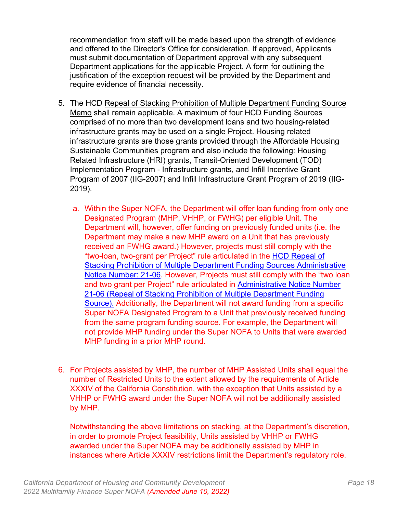recommendation from staff will be made based upon the strength of evidence and offered to the Director's Office for consideration. If approved, Applicants must submit documentation of Department approval with any subsequent Department applications for the applicable Project. A form for outlining the justification of the exception request will be provided by the Department and require evidence of financial necessity.

- 5. The HCD [Repeal of Stacking Prohibition of Multiple Department Funding Source](https://www.hcd.ca.gov/grants-funding/docs/admin_memo21-06_stacking_prohibition_repeal.pdf) [Memo](https://www.hcd.ca.gov/grants-funding/docs/admin_memo21-06_stacking_prohibition_repeal.pdf) shall remain applicable. A maximum of four HCD Funding Sources comprised of no more than two development loans and two housing-related infrastructure grants may be used on a single Project. Housing related infrastructure grants are those grants provided through the Affordable Housing Sustainable Communities program and also include the following: Housing Related Infrastructure (HRI) grants, Transit-Oriented Development (TOD) Implementation Program - Infrastructure grants, and Infill Incentive Grant Program of 2007 (IIG-2007) and Infill Infrastructure Grant Program of 2019 (IIG-2019).
	- a. Within the Super NOFA, the Department will offer loan funding from only one Designated Program (MHP, VHHP, or FWHG) per eligible Unit. The Department will, however, offer funding on previously funded units (i.e. the Department may make a new MHP award on a Unit that has previously received an FWHG award.) However, projects must still comply with the "two-loan, two-grant per Project" rule articulated in the HCD Repeal of Stacking Prohibition of Multiple Department Funding Sources Administrative [Notice Number: 21-06.](https://www.hcd.ca.gov/grants-funding/docs/admin_memo21-06_stacking_prohibition_repeal.pdf) However, Projects must still comply with the "two loan and two grant per Project" rule articulated in Administrative Notice Number 21-06 [\(Repeal of Stacking Prohibition of Multiple Department Funding](https://www.hcd.ca.gov/grants-funding/docs/admin_memo21-06_stacking_prohibition_repeal.pdf)  [Source\)](https://www.hcd.ca.gov/grants-funding/docs/admin_memo21-06_stacking_prohibition_repeal.pdf). Additionally, the Department will not award funding from a specific Super NOFA Designated Program to a Unit that previously received funding from the same program funding source. For example, the Department will not provide MHP funding under the Super NOFA to Units that were awarded MHP funding in a prior MHP round.
- 6. For Projects assisted by MHP, the number of MHP Assisted Units shall equal the number of Restricted Units to the extent allowed by the requirements of Article XXXIV of the California Constitution, with the exception that Units assisted by a VHHP or FWHG award under the Super NOFA will not be additionally assisted by MHP.

Notwithstanding the above limitations on stacking, at the Department's discretion, in order to promote Project feasibility, Units assisted by VHHP or FWHG awarded under the Super NOFA may be additionally assisted by MHP in instances where Article XXXIV restrictions limit the Department's regulatory role.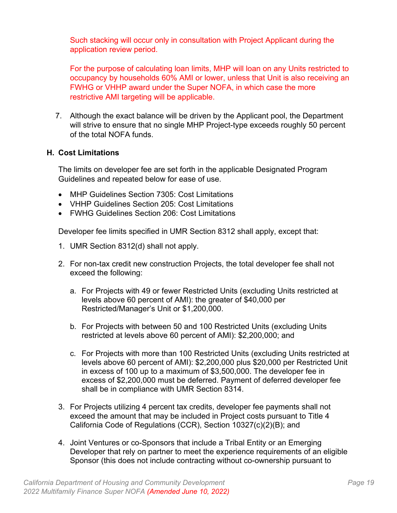Such stacking will occur only in consultation with Project Applicant during the application review period.

For the purpose of calculating loan limits, MHP will loan on any Units restricted to occupancy by households 60% AMI or lower, unless that Unit is also receiving an FWHG or VHHP award under the Super NOFA, in which case the more restrictive AMI targeting will be applicable.

7. Although the exact balance will be driven by the Applicant pool, the Department will strive to ensure that no single MHP Project-type exceeds roughly 50 percent of the total NOFA funds.

#### <span id="page-23-0"></span>**H. Cost Limitations**

The limits on developer fee are set forth in the applicable Designated Program Guidelines and repeated below for ease of use.

- MHP Guidelines Section 7305: Cost Limitations
- VHHP Guidelines Section 205: Cost Limitations
- FWHG Guidelines Section 206: Cost Limitations

Developer fee limits specified in UMR Section 8312 shall apply, except that:

- 1. UMR Section 8312(d) shall not apply.
- 2. For non-tax credit new construction Projects, the total developer fee shall not exceed the following:
	- a. For Projects with 49 or fewer Restricted Units (excluding Units restricted at levels above 60 percent of AMI): the greater of \$40,000 per Restricted/Manager's Unit or \$1,200,000.
	- b. For Projects with between 50 and 100 Restricted Units (excluding Units restricted at levels above 60 percent of AMI): \$2,200,000; and
	- c. For Projects with more than 100 Restricted Units (excluding Units restricted at levels above 60 percent of AMI): \$2,200,000 plus \$20,000 per Restricted Unit in excess of 100 up to a maximum of \$3,500,000. The developer fee in excess of \$2,200,000 must be deferred. Payment of deferred developer fee shall be in compliance with UMR Section 8314.
- 3. For Projects utilizing 4 percent tax credits, developer fee payments shall not exceed the amount that may be included in Project costs pursuant to Title 4 California Code of Regulations (CCR), Section 10327(c)(2)(B); and
- 4. Joint Ventures or co-Sponsors that include a Tribal Entity or an Emerging Developer that rely on partner to meet the experience requirements of an eligible Sponsor (this does not include contracting without co-ownership pursuant to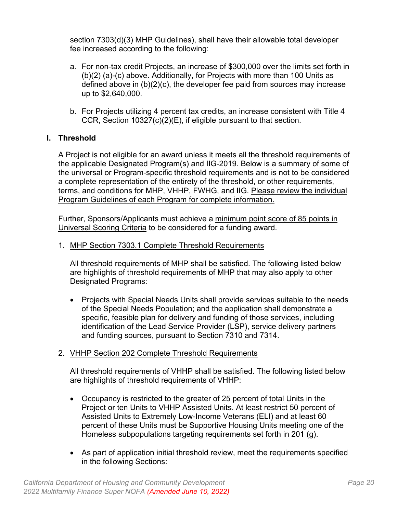section 7303(d)(3) MHP Guidelines), shall have their allowable total developer fee increased according to the following:

- a. For non-tax credit Projects, an increase of \$300,000 over the limits set forth in (b)(2) (a)-(c) above. Additionally, for Projects with more than 100 Units as defined above in (b)(2)(c), the developer fee paid from sources may increase up to \$2,640,000.
- b. For Projects utilizing 4 percent tax credits, an increase consistent with Title 4 CCR, Section 10327(c)(2)(E), if eligible pursuant to that section.

## <span id="page-24-0"></span>**I. Threshold**

A Project is not eligible for an award unless it meets all the threshold requirements of the applicable Designated Program(s) and IIG-2019. Below is a summary of some of the universal or Program-specific threshold requirements and is not to be considered a complete representation of the entirety of the threshold, or other requirements, terms, and conditions for MHP, VHHP, FWHG, and IIG. Please review the individual Program Guidelines of each Program for complete information.

Further, Sponsors/Applicants must achieve a minimum point score of 85 points in Universal Scoring Criteria to be considered for a funding award.

1. MHP Section 7303.1 Complete Threshold Requirements

All threshold requirements of MHP shall be satisfied. The following listed below are highlights of threshold requirements of MHP that may also apply to other Designated Programs:

• Projects with Special Needs Units shall provide services suitable to the needs of the Special Needs Population; and the application shall demonstrate a specific, feasible plan for delivery and funding of those services, including identification of the Lead Service Provider (LSP), service delivery partners and funding sources, pursuant to Section 7310 and 7314.

## 2. VHHP Section 202 Complete Threshold Requirements

All threshold requirements of VHHP shall be satisfied. The following listed below are highlights of threshold requirements of VHHP:

- Occupancy is restricted to the greater of 25 percent of total Units in the Project or ten Units to VHHP Assisted Units. At least restrict 50 percent of Assisted Units to Extremely Low-Income Veterans (ELI) and at least 60 percent of these Units must be Supportive Housing Units meeting one of the Homeless subpopulations targeting requirements set forth in 201 (g).
- As part of application initial threshold review, meet the requirements specified in the following Sections: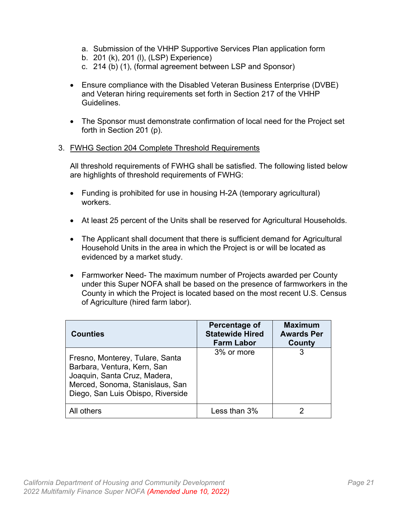- a. Submission of the VHHP Supportive Services Plan application form
- b. 201 (k), 201 (l), (LSP) Experience)
- c. 214 (b) (1), (formal agreement between LSP and Sponsor)
- Ensure compliance with the Disabled Veteran Business Enterprise (DVBE) and Veteran hiring requirements set forth in Section 217 of the VHHP **Guidelines**
- The Sponsor must demonstrate confirmation of local need for the Project set forth in Section 201 (p).
- 3. FWHG Section 204 Complete Threshold Requirements

All threshold requirements of FWHG shall be satisfied. The following listed below are highlights of threshold requirements of FWHG:

- Funding is prohibited for use in housing H-2A (temporary agricultural) workers.
- At least 25 percent of the Units shall be reserved for Agricultural Households.
- The Applicant shall document that there is sufficient demand for Agricultural Household Units in the area in which the Project is or will be located as evidenced by a market study.
- Farmworker Need- The maximum number of Projects awarded per County under this Super NOFA shall be based on the presence of farmworkers in the County in which the Project is located based on the most recent U.S. Census of Agriculture (hired farm labor).

| <b>Counties</b>                                                                                                                                                        | Percentage of<br><b>Statewide Hired</b><br><b>Farm Labor</b> | <b>Maximum</b><br><b>Awards Per</b><br><b>County</b> |
|------------------------------------------------------------------------------------------------------------------------------------------------------------------------|--------------------------------------------------------------|------------------------------------------------------|
| Fresno, Monterey, Tulare, Santa<br>Barbara, Ventura, Kern, San<br>Joaquin, Santa Cruz, Madera,<br>Merced, Sonoma, Stanislaus, San<br>Diego, San Luis Obispo, Riverside | 3% or more                                                   | 3                                                    |
| All others                                                                                                                                                             | Less than $3%$                                               |                                                      |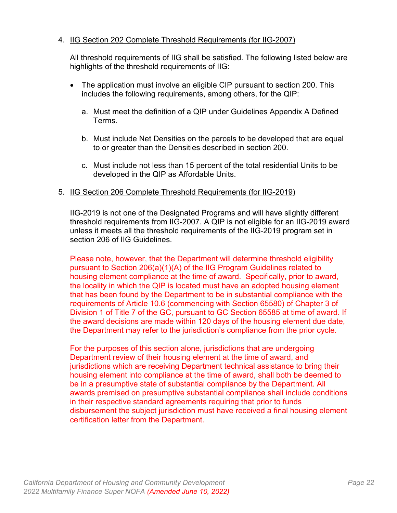## 4. IIG Section 202 Complete Threshold Requirements (for IIG-2007)

All threshold requirements of IIG shall be satisfied. The following listed below are highlights of the threshold requirements of IIG:

- The application must involve an eligible CIP pursuant to section 200. This includes the following requirements, among others, for the QIP:
	- a. Must meet the definition of a QIP under Guidelines Appendix A Defined Terms.
	- b. Must include Net Densities on the parcels to be developed that are equal to or greater than the Densities described in section 200.
	- c. Must include not less than 15 percent of the total residential Units to be developed in the QIP as Affordable Units.

#### 5. IIG Section 206 Complete Threshold Requirements (for IIG-2019)

IIG-2019 is not one of the Designated Programs and will have slightly different threshold requirements from IIG-2007. A QIP is not eligible for an IIG-2019 award unless it meets all the threshold requirements of the IIG-2019 program set in section 206 of IIG Guidelines.

Please note, however, that the Department will determine threshold eligibility pursuant to Section 206(a)(1)(A) of the IIG Program Guidelines related to housing element compliance at the time of award. Specifically, prior to award, the locality in which the QIP is located must have an adopted housing element that has been found by the Department to be in substantial compliance with the requirements of Article 10.6 (commencing with Section 65580) of Chapter 3 of Division 1 of Title 7 of the GC, pursuant to GC Section 65585 at time of award. If the award decisions are made within 120 days of the housing element due date, the Department may refer to the jurisdiction's compliance from the prior cycle.

For the purposes of this section alone, jurisdictions that are undergoing Department review of their housing element at the time of award, and jurisdictions which are receiving Department technical assistance to bring their housing element into compliance at the time of award, shall both be deemed to be in a presumptive state of substantial compliance by the Department. All awards premised on presumptive substantial compliance shall include conditions in their respective standard agreements requiring that prior to funds disbursement the subject jurisdiction must have received a final housing element certification letter from the Department.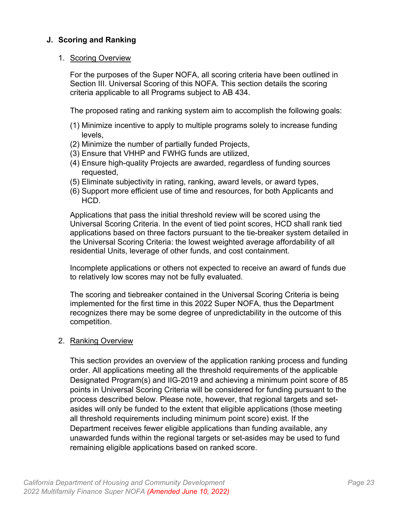## <span id="page-27-0"></span>**J. Scoring and Ranking**

#### 1. Scoring Overview

For the purposes of the Super NOFA, all scoring criteria have been outlined in Section III. Universal Scoring of this NOFA. This section details the scoring criteria applicable to all Programs subject to AB 434.

The proposed rating and ranking system aim to accomplish the following goals:

- (1) Minimize incentive to apply to multiple programs solely to increase funding levels,
- (2) Minimize the number of partially funded Projects,
- (3) Ensure that VHHP and FWHG funds are utilized,
- (4) Ensure high-quality Projects are awarded, regardless of funding sources requested,
- (5) Eliminate subjectivity in rating, ranking, award levels, or award types,
- (6) Support more efficient use of time and resources, for both Applicants and HCD.

Applications that pass the initial threshold review will be scored using the Universal Scoring Criteria. In the event of tied point scores, HCD shall rank tied applications based on three factors pursuant to the tie-breaker system detailed in the Universal Scoring Criteria: the lowest weighted average affordability of all residential Units, leverage of other funds, and cost containment.

Incomplete applications or others not expected to receive an award of funds due to relatively low scores may not be fully evaluated.

The scoring and tiebreaker contained in the Universal Scoring Criteria is being implemented for the first time in this 2022 Super NOFA, thus the Department recognizes there may be some degree of unpredictability in the outcome of this competition.

#### 2. Ranking Overview

This section provides an overview of the application ranking process and funding order. All applications meeting all the threshold requirements of the applicable Designated Program(s) and IIG-2019 and achieving a minimum point score of 85 points in Universal Scoring Criteria will be considered for funding pursuant to the process described below. Please note, however, that regional targets and setasides will only be funded to the extent that eligible applications (those meeting all threshold requirements including minimum point score) exist. If the Department receives fewer eligible applications than funding available, any unawarded funds within the regional targets or set-asides may be used to fund remaining eligible applications based on ranked score.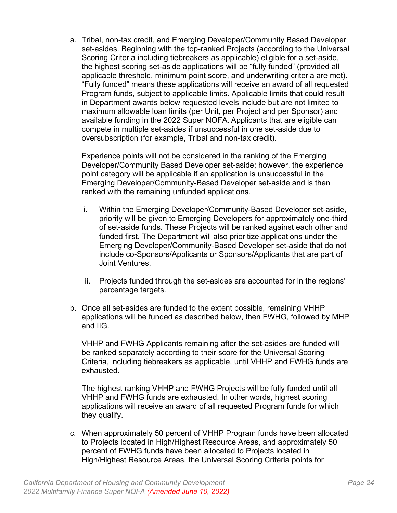a. Tribal, non-tax credit, and Emerging Developer/Community Based Developer set-asides. Beginning with the top-ranked Projects (according to the Universal Scoring Criteria including tiebreakers as applicable) eligible for a set-aside, the highest scoring set-aside applications will be "fully funded" (provided all applicable threshold, minimum point score, and underwriting criteria are met). "Fully funded" means these applications will receive an award of all requested Program funds, subject to applicable limits. Applicable limits that could result in Department awards below requested levels include but are not limited to maximum allowable loan limits (per Unit, per Project and per Sponsor) and available funding in the 2022 Super NOFA. Applicants that are eligible can compete in multiple set-asides if unsuccessful in one set-aside due to oversubscription (for example, Tribal and non-tax credit).

Experience points will not be considered in the ranking of the Emerging Developer/Community Based Developer set-aside; however, the experience point category will be applicable if an application is unsuccessful in the Emerging Developer/Community-Based Developer set-aside and is then ranked with the remaining unfunded applications.

- i. Within the Emerging Developer/Community-Based Developer set-aside, priority will be given to Emerging Developers for approximately one-third of set-aside funds. These Projects will be ranked against each other and funded first. The Department will also prioritize applications under the Emerging Developer/Community-Based Developer set-aside that do not include co-Sponsors/Applicants or Sponsors/Applicants that are part of Joint Ventures.
- ii. Projects funded through the set-asides are accounted for in the regions' percentage targets.
- b. Once all set-asides are funded to the extent possible, remaining VHHP applications will be funded as described below, then FWHG, followed by MHP and IIG.

VHHP and FWHG Applicants remaining after the set-asides are funded will be ranked separately according to their score for the Universal Scoring Criteria, including tiebreakers as applicable, until VHHP and FWHG funds are exhausted.

The highest ranking VHHP and FWHG Projects will be fully funded until all VHHP and FWHG funds are exhausted. In other words, highest scoring applications will receive an award of all requested Program funds for which they qualify.

c. When approximately 50 percent of VHHP Program funds have been allocated to Projects located in High/Highest Resource Areas, and approximately 50 percent of FWHG funds have been allocated to Projects located in High/Highest Resource Areas, the Universal Scoring Criteria points for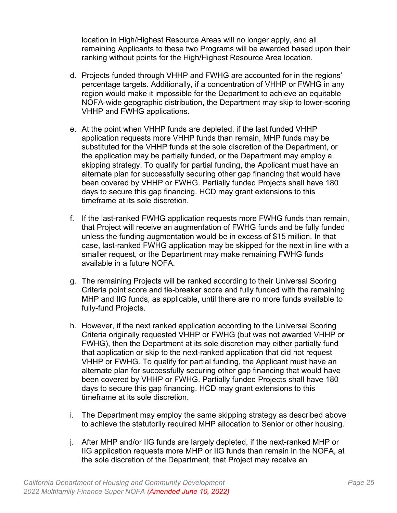location in High/Highest Resource Areas will no longer apply, and all remaining Applicants to these two Programs will be awarded based upon their ranking without points for the High/Highest Resource Area location.

- d. Projects funded through VHHP and FWHG are accounted for in the regions' percentage targets. Additionally, if a concentration of VHHP or FWHG in any region would make it impossible for the Department to achieve an equitable NOFA-wide geographic distribution, the Department may skip to lower-scoring VHHP and FWHG applications.
- e. At the point when VHHP funds are depleted, if the last funded VHHP application requests more VHHP funds than remain, MHP funds may be substituted for the VHHP funds at the sole discretion of the Department, or the application may be partially funded, or the Department may employ a skipping strategy. To qualify for partial funding, the Applicant must have an alternate plan for successfully securing other gap financing that would have been covered by VHHP or FWHG. Partially funded Projects shall have 180 days to secure this gap financing. HCD may grant extensions to this timeframe at its sole discretion.
- f. If the last-ranked FWHG application requests more FWHG funds than remain, that Project will receive an augmentation of FWHG funds and be fully funded unless the funding augmentation would be in excess of \$15 million. In that case, last-ranked FWHG application may be skipped for the next in line with a smaller request, or the Department may make remaining FWHG funds available in a future NOFA.
- g. The remaining Projects will be ranked according to their Universal Scoring Criteria point score and tie-breaker score and fully funded with the remaining MHP and IIG funds, as applicable, until there are no more funds available to fully-fund Projects.
- h. However, if the next ranked application according to the Universal Scoring Criteria originally requested VHHP or FWHG (but was not awarded VHHP or FWHG), then the Department at its sole discretion may either partially fund that application or skip to the next-ranked application that did not request VHHP or FWHG. To qualify for partial funding, the Applicant must have an alternate plan for successfully securing other gap financing that would have been covered by VHHP or FWHG. Partially funded Projects shall have 180 days to secure this gap financing. HCD may grant extensions to this timeframe at its sole discretion.
- i. The Department may employ the same skipping strategy as described above to achieve the statutorily required MHP allocation to Senior or other housing.
- j. After MHP and/or IIG funds are largely depleted, if the next-ranked MHP or IIG application requests more MHP or IIG funds than remain in the NOFA, at the sole discretion of the Department, that Project may receive an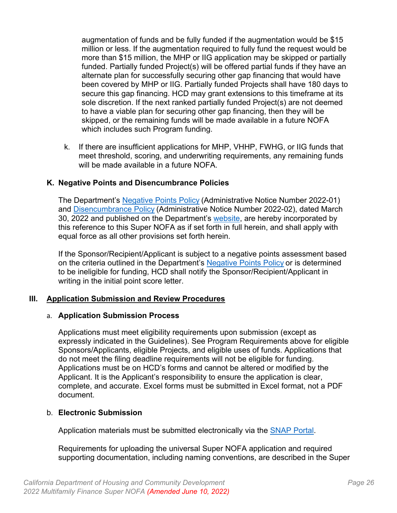augmentation of funds and be fully funded if the augmentation would be \$15 million or less. If the augmentation required to fully fund the request would be more than \$15 million, the MHP or IIG application may be skipped or partially funded. Partially funded Project(s) will be offered partial funds if they have an alternate plan for successfully securing other gap financing that would have been covered by MHP or IIG. Partially funded Projects shall have 180 days to secure this gap financing. HCD may grant extensions to this timeframe at its sole discretion. If the next ranked partially funded Project(s) are not deemed to have a viable plan for securing other gap financing, then they will be skipped, or the remaining funds will be made available in a future NOFA which includes such Program funding.

k. If there are insufficient applications for MHP, VHHP, FWHG, or IIG funds that meet threshold, scoring, and underwriting requirements, any remaining funds will be made available in a future NOFA.

#### <span id="page-30-0"></span>**K. Negative Points and Disencumbrance Policies**

The Department's [Negative Points Policy](https://www.hcd.ca.gov/sites/default/files/2022-03/Negative-Points-Policy-FINAL_03-31-22.pdf) (Administrative Notice Number 2022-01) and [Disencumbrance Policy](https://www.hcd.ca.gov/sites/default/files/2022-03/Disencumberance-Policy-FINAL-03-31-22.pdf) (Administrative Notice Number 2022-02), dated March 30, 2022 and published on the Department's [website,](https://www.hcd.ca.gov/grants-funding/index.shtml) are hereby incorporated by this reference to this Super NOFA as if set forth in full herein, and shall apply with equal force as all other provisions set forth herein.

If the Sponsor/Recipient/Applicant is subject to a negative points assessment based on the criteria outlined in the Department's [Negative Points Policy](https://www.hcd.ca.gov/sites/default/files/2022-03/Negative-Points-Policy-FINAL_03-31-22.pdf) or is determined to be ineligible for funding, HCD shall notify the Sponsor/Recipient/Applicant in writing in the initial point score letter.

#### <span id="page-30-1"></span>**III. Application Submission and Review Procedures**

#### <span id="page-30-2"></span>a. **Application Submission Process**

Applications must meet eligibility requirements upon submission (except as expressly indicated in the Guidelines). See Program Requirements above for eligible Sponsors/Applicants, eligible Projects, and eligible uses of funds. Applications that do not meet the filing deadline requirements will not be eligible for funding. Applications must be on HCD's forms and cannot be altered or modified by the Applicant. It is the Applicant's responsibility to ensure the application is clear, complete, and accurate. Excel forms must be submitted in Excel format, not a PDF document.

#### <span id="page-30-3"></span>b. **Electronic Submission**

Application materials must be submitted electronically via the [SNAP Portal.](https://www.hcd.ca.gov/super-nofa-how-to-apply)

Requirements for uploading the universal Super NOFA application and required supporting documentation, including naming conventions, are described in the Super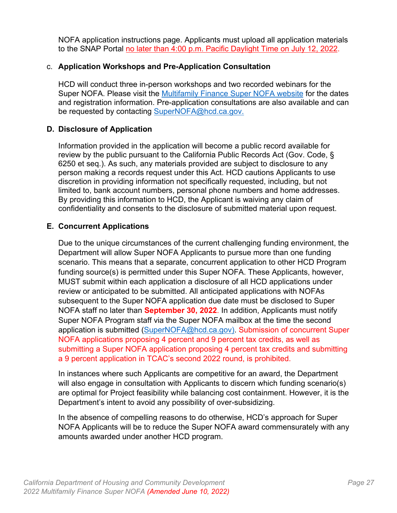NOFA application instructions page. Applicants must upload all application materials to the SNAP Portal no later than 4:00 p.m. Pacific Daylight Time on July 12, 2022.

## <span id="page-31-0"></span>c. **Application Workshops and Pre-Application Consultation**

HCD will conduct three in-person workshops and two recorded webinars for the Super NOFA. Please visit the [Multifamily Finance Super](https://www.hcd.ca.gov/multifamily-finance-supernofa) NOFA website for the dates and registration information. Pre-application consultations are also available and can be requested by contacting SuperNOFA@hcd.ca.gov.

## <span id="page-31-1"></span>**D. Disclosure of Application**

Information provided in the application will become a public record available for review by the public pursuant to the California Public Records Act (Gov. Code, § 6250 et seq.). As such, any materials provided are subject to disclosure to any person making a records request under this Act. HCD cautions Applicants to use discretion in providing information not specifically requested, including, but not limited to, bank account numbers, personal phone numbers and home addresses. By providing this information to HCD, the Applicant is waiving any claim of confidentiality and consents to the disclosure of submitted material upon request.

## <span id="page-31-2"></span>**E. Concurrent Applications**

Due to the unique circumstances of the current challenging funding environment, the Department will allow Super NOFA Applicants to pursue more than one funding scenario. This means that a separate, concurrent application to other HCD Program funding source(s) is permitted under this Super NOFA. These Applicants, however, MUST submit within each application a disclosure of all HCD applications under review or anticipated to be submitted. All anticipated applications with NOFAs subsequent to the Super NOFA application due date must be disclosed to Super NOFA staff no later than **September 30, 2022**. In addition, Applicants must notify Super NOFA Program staff via the Super NOFA mailbox at the time the second application is submitted [\(SuperNOFA@hcd.ca.gov\).](mailto:SuperNOFA@hcd.ca.gov) Submission of concurrent Super NOFA applications proposing 4 percent and 9 percent tax credits, as well as submitting a Super NOFA application proposing 4 percent tax credits and submitting a 9 percent application in TCAC's second 2022 round, is prohibited.

In instances where such Applicants are competitive for an award, the Department will also engage in consultation with Applicants to discern which funding scenario(s) are optimal for Project feasibility while balancing cost containment. However, it is the Department's intent to avoid any possibility of over-subsidizing.

In the absence of compelling reasons to do otherwise, HCD's approach for Super NOFA Applicants will be to reduce the Super NOFA award commensurately with any amounts awarded under another HCD program.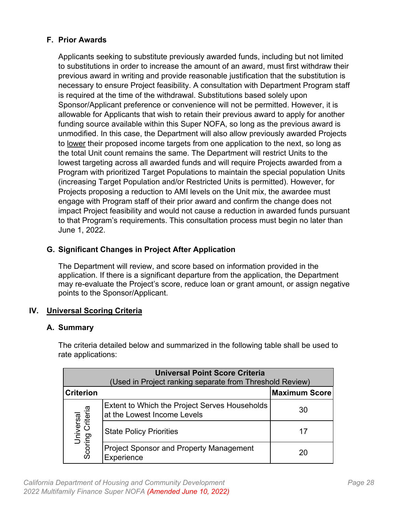## <span id="page-32-0"></span>**F. Prior Awards**

Applicants seeking to substitute previously awarded funds, including but not limited to substitutions in order to increase the amount of an award, must first withdraw their previous award in writing and provide reasonable justification that the substitution is necessary to ensure Project feasibility. A consultation with Department Program staff is required at the time of the withdrawal. Substitutions based solely upon Sponsor/Applicant preference or convenience will not be permitted. However, it is allowable for Applicants that wish to retain their previous award to apply for another funding source available within this Super NOFA, so long as the previous award is unmodified. In this case, the Department will also allow previously awarded Projects to lower their proposed income targets from one application to the next, so long as the total Unit count remains the same. The Department will restrict Units to the lowest targeting across all awarded funds and will require Projects awarded from a Program with prioritized Target Populations to maintain the special population Units (increasing Target Population and/or Restricted Units is permitted). However, for Projects proposing a reduction to AMI levels on the Unit mix, the awardee must engage with Program staff of their prior award and confirm the change does not impact Project feasibility and would not cause a reduction in awarded funds pursuant to that Program's requirements. This consultation process must begin no later than June 1, 2022.

## <span id="page-32-1"></span>**G. Significant Changes in Project After Application**

The Department will review, and score based on information provided in the application. If there is a significant departure from the application, the Department may re-evaluate the Project's score, reduce loan or grant amount, or assign negative points to the Sponsor/Applicant.

## <span id="page-32-2"></span>**IV. Universal Scoring Criteria**

#### <span id="page-32-3"></span>**A. Summary**

The criteria detailed below and summarized in the following table shall be used to rate applications:

| <b>Universal Point Score Criteria</b><br>(Used in Project ranking separate from Threshold Review) |                                                                              |                      |  |
|---------------------------------------------------------------------------------------------------|------------------------------------------------------------------------------|----------------------|--|
| <b>Criterion</b>                                                                                  |                                                                              | <b>Maximum Score</b> |  |
|                                                                                                   | Extent to Which the Project Serves Households<br>at the Lowest Income Levels | 30                   |  |
| Universal<br>Scoring Criteria                                                                     | <b>State Policy Priorities</b>                                               | 17                   |  |
|                                                                                                   | <b>Project Sponsor and Property Management</b><br>Experience                 | 20                   |  |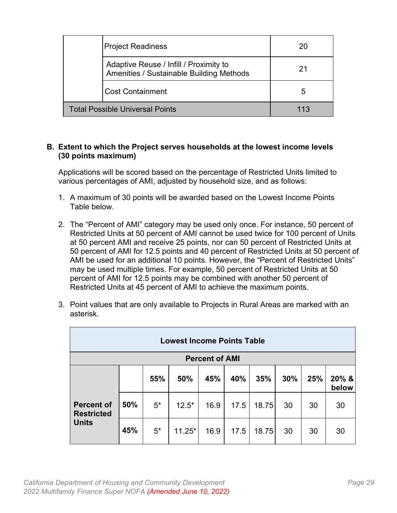| <b>Project Readiness</b>                                                           | 20  |
|------------------------------------------------------------------------------------|-----|
| Adaptive Reuse / Infill / Proximity to<br>Amenities / Sustainable Building Methods | 21  |
| <b>Cost Containment</b>                                                            | 5   |
| <b>Total Possible Universal Points</b>                                             | 113 |

#### <span id="page-33-0"></span>**B. Extent to which the Project serves households at the lowest income levels (30 points maximum)**

Applications will be scored based on the percentage of Restricted Units limited to various percentages of AMI, adjusted by household size, and as follows:

- 1. A maximum of 30 points will be awarded based on the Lowest Income Points Table below.
- 2. The "Percent of AMI" category may be used only once. For instance, 50 percent of Restricted Units at 50 percent of AMI cannot be used twice for 100 percent of Units at 50 percent AMI and receive 25 points, nor can 50 percent of Restricted Units at 50 percent of AMI for 12.5 points and 40 percent of Restricted Units at 50 percent of AMI be used for an additional 10 points. However, the "Percent of Restricted Units" may be used multiple times. For example, 50 percent of Restricted Units at 50 percent of AMI for 12.5 points may be combined with another 50 percent of Restricted Units at 45 percent of AMI to achieve the maximum points.
- 3. Point values that are only available to Projects in Rural Areas are marked with an asterisk.

| <b>Lowest Income Points Table</b>      |     |      |          |      |      |       |     |     |                |
|----------------------------------------|-----|------|----------|------|------|-------|-----|-----|----------------|
| <b>Percent of AMI</b>                  |     |      |          |      |      |       |     |     |                |
|                                        |     | 55%  | 50%      | 45%  | 40%  | 35%   | 30% | 25% | 20% &<br>below |
| <b>Percent of</b><br><b>Restricted</b> | 50% | $5*$ | $12.5*$  | 16.9 | 17.5 | 18.75 | 30  | 30  | 30             |
| <b>Units</b>                           | 45% | $5*$ | $11.25*$ | 16.9 | 17.5 | 18.75 | 30  | 30  | 30             |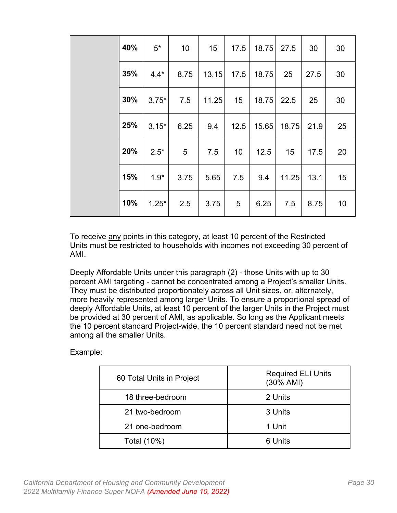| 40% | $5^*$   | 10              | 15    | 17.5            | 18.75 27.5 |       | 30   | 30 |  |
|-----|---------|-----------------|-------|-----------------|------------|-------|------|----|--|
| 35% | $4.4*$  | 8.75            | 13.15 | 17.5            | 18.75      | 25    | 27.5 | 30 |  |
| 30% | $3.75*$ | 7.5             | 11.25 | 15              | 18.75      | 22.5  | 25   | 30 |  |
| 25% | $3.15*$ | 6.25            | 9.4   | 12.5            | 15.65      | 18.75 | 21.9 | 25 |  |
| 20% | $2.5*$  | $5\phantom{.0}$ | 7.5   | 10              | 12.5       | 15    | 17.5 | 20 |  |
| 15% | $1.9*$  | 3.75            | 5.65  | 7.5             | 9.4        | 11.25 | 13.1 | 15 |  |
| 10% | $1.25*$ | 2.5             | 3.75  | $5\overline{)}$ | 6.25       | 7.5   | 8.75 | 10 |  |

To receive any points in this category, at least 10 percent of the Restricted Units must be restricted to households with incomes not exceeding 30 percent of AMI.

Deeply Affordable Units under this paragraph (2) - those Units with up to 30 percent AMI targeting - cannot be concentrated among a Project's smaller Units. They must be distributed proportionately across all Unit sizes, or, alternately, more heavily represented among larger Units. To ensure a proportional spread of deeply Affordable Units, at least 10 percent of the larger Units in the Project must be provided at 30 percent of AMI, as applicable. So long as the Applicant meets the 10 percent standard Project-wide, the 10 percent standard need not be met among all the smaller Units.

| 60 Total Units in Project | <b>Required ELI Units</b><br>$(30\%$ AMI) |
|---------------------------|-------------------------------------------|
| 18 three-bedroom          | 2 Units                                   |
| 21 two-bedroom            | 3 Units                                   |
| 21 one-bedroom            | 1 Unit                                    |
| Total (10%)               | 6 Units                                   |

Example: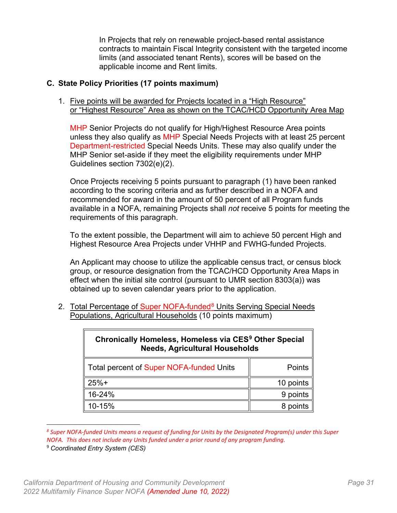In Projects that rely on renewable project-based rental assistance contracts to maintain Fiscal Integrity consistent with the targeted income limits (and associated tenant Rents), scores will be based on the applicable income and Rent limits.

#### <span id="page-35-0"></span>**C. State Policy Priorities (17 points maximum)**

1. Five points will be awarded for Projects located in a "High Resource" or "Highest Resource" Area as shown on the TCAC/HCD Opportunity Area Map

MHP Senior Projects do not qualify for High/Highest Resource Area points unless they also qualify as MHP Special Needs Projects with at least 25 percent Department-restricted Special Needs Units. These may also qualify under the MHP Senior set-aside if they meet the eligibility requirements under MHP Guidelines section 7302(e)(2).

Once Projects receiving 5 points pursuant to paragraph (1) have been ranked according to the scoring criteria and as further described in a NOFA and recommended for award in the amount of 50 percent of all Program funds available in a NOFA, remaining Projects shall *not* receive 5 points for meeting the requirements of this paragraph.

To the extent possible, the Department will aim to achieve 50 percent High and Highest Resource Area Projects under VHHP and FWHG-funded Projects.

An Applicant may choose to utilize the applicable census tract, or census block group, or resource designation from the TCAC/HCD Opportunity Area Maps in effect when the initial site control (pursuant to UMR section 8303(a)) was obtained up to seven calendar years prior to the application.

2. Total Percentage of Super NOFA-funded<sup>[8](#page-35-1)</sup> Units Serving Special Needs Populations, Agricultural Households (10 points maximum)

| Chronically Homeless, Homeless via CES <sup>9</sup> Other Special<br><b>Needs, Agricultural Households</b> |           |  |  |
|------------------------------------------------------------------------------------------------------------|-----------|--|--|
| Total percent of Super NOFA-funded Units                                                                   | Points    |  |  |
| $25%+$                                                                                                     | 10 points |  |  |
| 16-24%                                                                                                     | 9 points  |  |  |
| 10-15%                                                                                                     | 8 points  |  |  |

<span id="page-35-1"></span>*<sup>8</sup> Super NOFA-funded Units means a request of funding for Units by the Designated Program(s) under this Super NOFA. This does not include any Units funded under a prior round of any program funding.* 

<span id="page-35-2"></span><sup>9</sup> *Coordinated Entry System (CES)*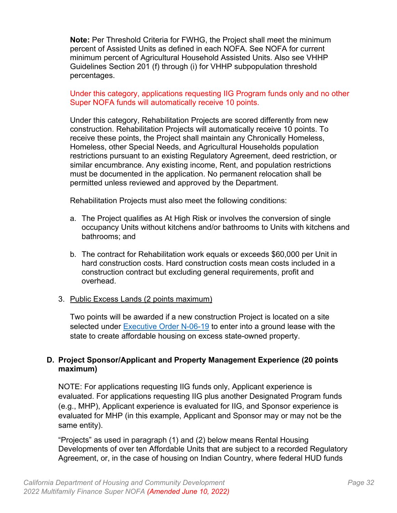**Note:** Per Threshold Criteria for FWHG, the Project shall meet the minimum percent of Assisted Units as defined in each NOFA. See NOFA for current minimum percent of Agricultural Household Assisted Units. Also see VHHP Guidelines Section 201 (f) through (i) for VHHP subpopulation threshold percentages.

#### Under this category, applications requesting IIG Program funds only and no other Super NOFA funds will automatically receive 10 points.

Under this category, Rehabilitation Projects are scored differently from new construction. Rehabilitation Projects will automatically receive 10 points. To receive these points, the Project shall maintain any Chronically Homeless, Homeless, other Special Needs, and Agricultural Households population restrictions pursuant to an existing Regulatory Agreement, deed restriction, or similar encumbrance. Any existing income, Rent, and population restrictions must be documented in the application. No permanent relocation shall be permitted unless reviewed and approved by the Department.

Rehabilitation Projects must also meet the following conditions:

- a. The Project qualifies as At High Risk or involves the conversion of single occupancy Units without kitchens and/or bathrooms to Units with kitchens and bathrooms; and
- b. The contract for Rehabilitation work equals or exceeds \$60,000 per Unit in hard construction costs. Hard construction costs mean costs included in a construction contract but excluding general requirements, profit and overhead.

#### 3. Public Excess Lands (2 points maximum)

Two points will be awarded if a new construction Project is located on a site selected under **Executive Order N-06-19** to enter into a ground lease with the state to create affordable housing on excess state-owned property.

#### <span id="page-36-0"></span>**D. Project Sponsor/Applicant and Property Management Experience (20 points maximum)**

NOTE: For applications requesting IIG funds only, Applicant experience is evaluated. For applications requesting IIG plus another Designated Program funds (e.g., MHP), Applicant experience is evaluated for IIG, and Sponsor experience is evaluated for MHP (in this example, Applicant and Sponsor may or may not be the same entity).

"Projects" as used in paragraph (1) and (2) below means Rental Housing Developments of over ten Affordable Units that are subject to a recorded Regulatory Agreement, or, in the case of housing on Indian Country, where federal HUD funds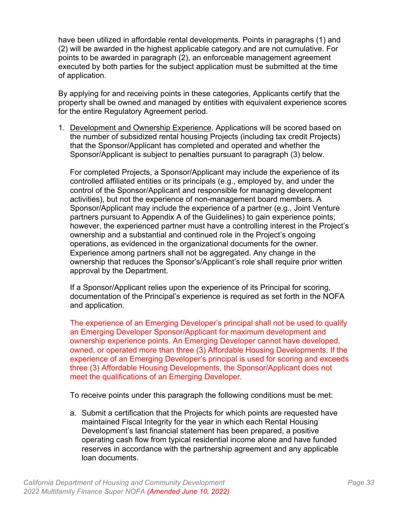have been utilized in affordable rental developments. Points in paragraphs (1) and (2) will be awarded in the highest applicable category and are not cumulative. For points to be awarded in paragraph (2), an enforceable management agreement executed by both parties for the subject application must be submitted at the time of application.

By applying for and receiving points in these categories, Applicants certify that the property shall be owned and managed by entities with equivalent experience scores for the entire Regulatory Agreement period.

1. Development and Ownership Experience. Applications will be scored based on the number of subsidized rental housing Projects (including tax credit Projects) that the Sponsor/Applicant has completed and operated and whether the Sponsor/Applicant is subject to penalties pursuant to paragraph (3) below.

For completed Projects, a Sponsor/Applicant may include the experience of its controlled affiliated entities or its principals (e.g., employed by, and under the control of the Sponsor/Applicant and responsible for managing development activities), but not the experience of non-management board members. A Sponsor/Applicant may include the experience of a partner (e.g., Joint Venture partners pursuant to Appendix A of the Guidelines) to gain experience points; however, the experienced partner must have a controlling interest in the Project's ownership and a substantial and continued role in the Project's ongoing operations, as evidenced in the organizational documents for the owner. Experience among partners shall not be aggregated. Any change in the ownership that reduces the Sponsor's/Applicant's role shall require prior written approval by the Department.

If a Sponsor/Applicant relies upon the experience of its Principal for scoring, documentation of the Principal's experience is required as set forth in the NOFA and application.

The experience of an Emerging Developer's principal shall not be used to qualify an Emerging Developer Sponsor/Applicant for maximum development and ownership experience points. An Emerging Developer cannot have developed, owned, or operated more than three (3) Affordable Housing Developments. If the experience of an Emerging Developer's principal is used for scoring and exceeds three (3) Affordable Housing Developments, the Sponsor/Applicant does not meet the qualifications of an Emerging Developer.

To receive points under this paragraph the following conditions must be met:

a. Submit a certification that the Projects for which points are requested have maintained Fiscal Integrity for the year in which each Rental Housing Development's last financial statement has been prepared, a positive operating cash flow from typical residential income alone and have funded reserves in accordance with the partnership agreement and any applicable loan documents.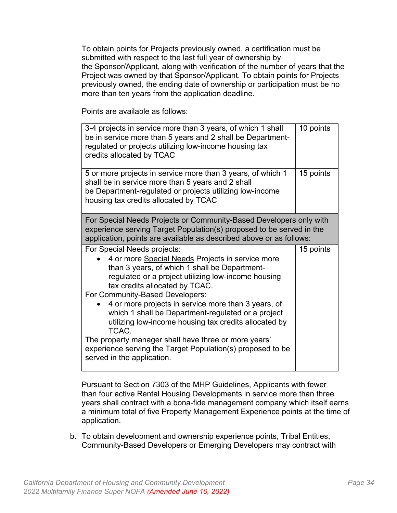To obtain points for Projects previously owned, a certification must be submitted with respect to the last full year of ownership by the Sponsor/Applicant, along with verification of the number of years that the Project was owned by that Sponsor/Applicant. To obtain points for Projects previously owned, the ending date of ownership or participation must be no more than ten years from the application deadline.

Points are available as follows:

| 3-4 projects in service more than 3 years, of which 1 shall<br>be in service more than 5 years and 2 shall be Department-<br>regulated or projects utilizing low-income housing tax<br>credits allocated by TCAC                                                                                                                                                                                                                                                                                                                                                                                | 10 points |  |  |
|-------------------------------------------------------------------------------------------------------------------------------------------------------------------------------------------------------------------------------------------------------------------------------------------------------------------------------------------------------------------------------------------------------------------------------------------------------------------------------------------------------------------------------------------------------------------------------------------------|-----------|--|--|
| 5 or more projects in service more than 3 years, of which 1<br>shall be in service more than 5 years and 2 shall<br>be Department-regulated or projects utilizing low-income<br>housing tax credits allocated by TCAC                                                                                                                                                                                                                                                                                                                                                                           | 15 points |  |  |
| For Special Needs Projects or Community-Based Developers only with<br>experience serving Target Population(s) proposed to be served in the<br>application, points are available as described above or as follows:                                                                                                                                                                                                                                                                                                                                                                               |           |  |  |
| For Special Needs projects:<br>4 or more Special Needs Projects in service more<br>than 3 years, of which 1 shall be Department-<br>regulated or a project utilizing low-income housing<br>tax credits allocated by TCAC.<br>For Community-Based Developers:<br>4 or more projects in service more than 3 years, of<br>which 1 shall be Department-regulated or a project<br>utilizing low-income housing tax credits allocated by<br>TCAC.<br>The property manager shall have three or more years'<br>experience serving the Target Population(s) proposed to be<br>served in the application. | 15 points |  |  |

Pursuant to Section 7303 of the MHP Guidelines, Applicants with fewer than four active Rental Housing Developments in service more than three years shall contract with a bona-fide management company which itself earns a minimum total of five Property Management Experience points at the time of application.

b. To obtain development and ownership experience points, Tribal Entities, Community-Based Developers or Emerging Developers may contract with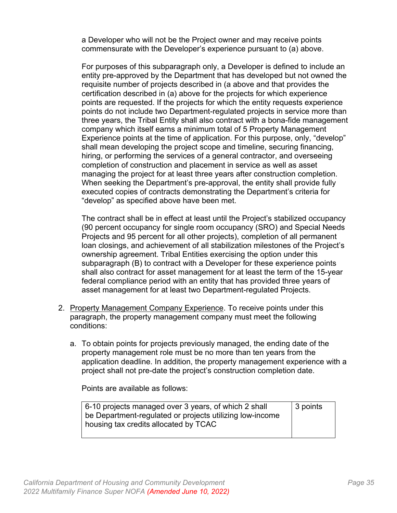a Developer who will not be the Project owner and may receive points commensurate with the Developer's experience pursuant to (a) above.

For purposes of this subparagraph only, a Developer is defined to include an entity pre-approved by the Department that has developed but not owned the requisite number of projects described in (a above and that provides the certification described in (a) above for the projects for which experience points are requested. If the projects for which the entity requests experience points do not include two Department-regulated projects in service more than three years, the Tribal Entity shall also contract with a bona-fide management company which itself earns a minimum total of 5 Property Management Experience points at the time of application. For this purpose, only, "develop" shall mean developing the project scope and timeline, securing financing, hiring, or performing the services of a general contractor, and overseeing completion of construction and placement in service as well as asset managing the project for at least three years after construction completion. When seeking the Department's pre-approval, the entity shall provide fully executed copies of contracts demonstrating the Department's criteria for "develop" as specified above have been met.

The contract shall be in effect at least until the Project's stabilized occupancy (90 percent occupancy for single room occupancy (SRO) and Special Needs Projects and 95 percent for all other projects), completion of all permanent loan closings, and achievement of all stabilization milestones of the Project's ownership agreement. Tribal Entities exercising the option under this subparagraph (B) to contract with a Developer for these experience points shall also contract for asset management for at least the term of the 15-year federal compliance period with an entity that has provided three years of asset management for at least two Department-regulated Projects.

- 2. Property Management Company Experience. To receive points under this paragraph, the property management company must meet the following conditions:
	- a. To obtain points for projects previously managed, the ending date of the property management role must be no more than ten years from the application deadline. In addition, the property management experience with a project shall not pre-date the project's construction completion date.

Points are available as follows:

| 6-10 projects managed over 3 years, of which 2 shall     | $\vert$ 3 points |
|----------------------------------------------------------|------------------|
| be Department-regulated or projects utilizing low-income |                  |
| housing tax credits allocated by TCAC                    |                  |
|                                                          |                  |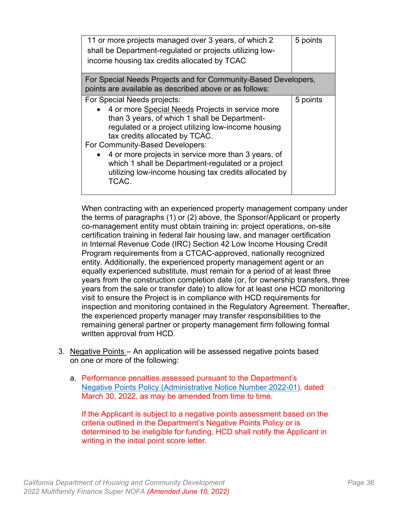| 11 or more projects managed over 3 years, of which 2<br>shall be Department-regulated or projects utilizing low-<br>income housing tax credits allocated by TCAC                                                                                                                                                                                                                                                                              | 5 points |  |
|-----------------------------------------------------------------------------------------------------------------------------------------------------------------------------------------------------------------------------------------------------------------------------------------------------------------------------------------------------------------------------------------------------------------------------------------------|----------|--|
| For Special Needs Projects and for Community-Based Developers,<br>points are available as described above or as follows:                                                                                                                                                                                                                                                                                                                      |          |  |
| For Special Needs projects:<br>• 4 or more Special Needs Projects in service more<br>than 3 years, of which 1 shall be Department-<br>regulated or a project utilizing low-income housing<br>tax credits allocated by TCAC.<br>For Community-Based Developers:<br>4 or more projects in service more than 3 years, of<br>which 1 shall be Department-regulated or a project<br>utilizing low-income housing tax credits allocated by<br>TCAC. | 5 points |  |

When contracting with an experienced property management company under the terms of paragraphs (1) or (2) above, the Sponsor/Applicant or property co-management entity must obtain training in: project operations, on-site certification training in federal fair housing law, and manager certification in Internal Revenue Code (IRC) Section 42 Low Income Housing Credit Program requirements from a CTCAC-approved, nationally recognized entity. Additionally, the experienced property management agent or an equally experienced substitute, must remain for a period of at least three years from the construction completion date (or, for ownership transfers, three years from the sale or transfer date) to allow for at least one HCD monitoring visit to ensure the Project is in compliance with HCD requirements for inspection and monitoring contained in the Regulatory Agreement. Thereafter, the experienced property manager may transfer responsibilities to the remaining general partner or property management firm following formal written approval from HCD.

- 3. Negative Points An application will be assessed negative points based on one or more of the following:
	- a. Performance penalties assessed pursuant to the Department's [Negative Points Policy \(Administrative Notice Number 2022-01\)](https://hcd.ca.gov/sites/default/files/2022-04/Negative-Points-Policy-FINAL-33022_ADA.pdf), dated March 30, 2022, as may be amended from time to time.

If the Applicant is subject to a negative points assessment based on the criteria outlined in the Department's Negative Points Policy or is determined to be ineligible for funding, HCD shall notify the Applicant in writing in the initial point score letter.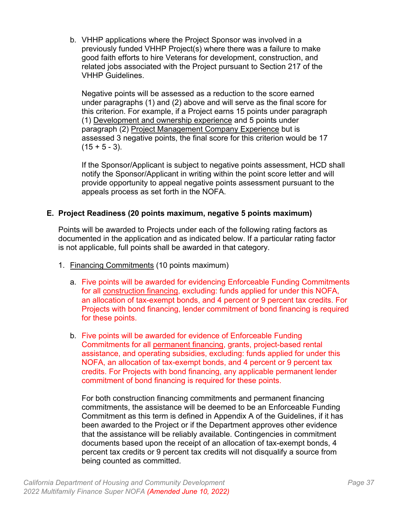b. VHHP applications where the Project Sponsor was involved in a previously funded VHHP Project(s) where there was a failure to make good faith efforts to hire Veterans for development, construction, and related jobs associated with the Project pursuant to Section 217 of the VHHP Guidelines.

Negative points will be assessed as a reduction to the score earned under paragraphs (1) and (2) above and will serve as the final score for this criterion. For example, if a Project earns 15 points under paragraph (1) Development and ownership experience and 5 points under paragraph (2) Project Management Company Experience but is assessed 3 negative points, the final score for this criterion would be 17  $(15 + 5 - 3)$ .

If the Sponsor/Applicant is subject to negative points assessment, HCD shall notify the Sponsor/Applicant in writing within the point score letter and will provide opportunity to appeal negative points assessment pursuant to the appeals process as set forth in the NOFA.

## <span id="page-41-0"></span>**E. Project Readiness (20 points maximum, negative 5 points maximum)**

Points will be awarded to Projects under each of the following rating factors as documented in the application and as indicated below. If a particular rating factor is not applicable, full points shall be awarded in that category.

- 1. Financing Commitments (10 points maximum)
	- a. Five points will be awarded for evidencing Enforceable Funding Commitments for all construction financing, excluding: funds applied for under this NOFA, an allocation of tax-exempt bonds, and 4 percent or 9 percent tax credits. For Projects with bond financing, lender commitment of bond financing is required for these points.
	- b. Five points will be awarded for evidence of Enforceable Funding Commitments for all permanent financing, grants, project-based rental assistance, and operating subsidies, excluding: funds applied for under this NOFA, an allocation of tax-exempt bonds, and 4 percent or 9 percent tax credits. For Projects with bond financing, any applicable permanent lender commitment of bond financing is required for these points.

For both construction financing commitments and permanent financing commitments, the assistance will be deemed to be an Enforceable Funding Commitment as this term is defined in Appendix A of the Guidelines, if it has been awarded to the Project or if the Department approves other evidence that the assistance will be reliably available. Contingencies in commitment documents based upon the receipt of an allocation of tax-exempt bonds, 4 percent tax credits or 9 percent tax credits will not disqualify a source from being counted as committed.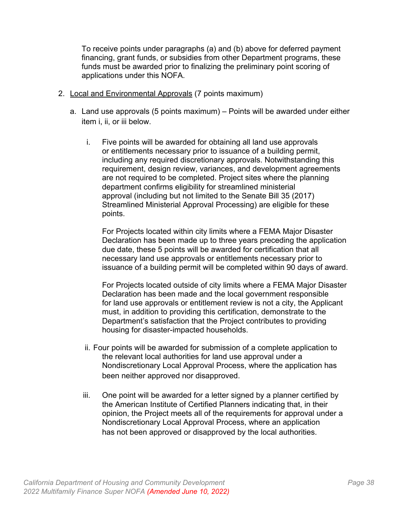To receive points under paragraphs (a) and (b) above for deferred payment financing, grant funds, or subsidies from other Department programs, these funds must be awarded prior to finalizing the preliminary point scoring of applications under this NOFA.

- 2. Local and Environmental Approvals (7 points maximum)
	- a. Land use approvals (5 points maximum) Points will be awarded under either item i, ii, or iii below.
		- i. Five points will be awarded for obtaining all land use approvals or entitlements necessary prior to issuance of a building permit, including any required discretionary approvals. Notwithstanding this requirement, design review, variances, and development agreements are not required to be completed. Project sites where the planning department confirms eligibility for streamlined ministerial approval (including but not limited to the Senate Bill 35 (2017) Streamlined Ministerial Approval Processing) are eligible for these points.

For Projects located within city limits where a FEMA Major Disaster Declaration has been made up to three years preceding the application due date, these 5 points will be awarded for certification that all necessary land use approvals or entitlements necessary prior to issuance of a building permit will be completed within 90 days of award.

For Projects located outside of city limits where a FEMA Major Disaster Declaration has been made and the local government responsible for land use approvals or entitlement review is not a city, the Applicant must, in addition to providing this certification, demonstrate to the Department's satisfaction that the Project contributes to providing housing for disaster-impacted households.

- ii. Four points will be awarded for submission of a complete application to the relevant local authorities for land use approval under a Nondiscretionary Local Approval Process, where the application has been neither approved nor disapproved.
- iii. One point will be awarded for a letter signed by a planner certified by the American Institute of Certified Planners indicating that, in their opinion, the Project meets all of the requirements for approval under a Nondiscretionary Local Approval Process, where an application has not been approved or disapproved by the local authorities.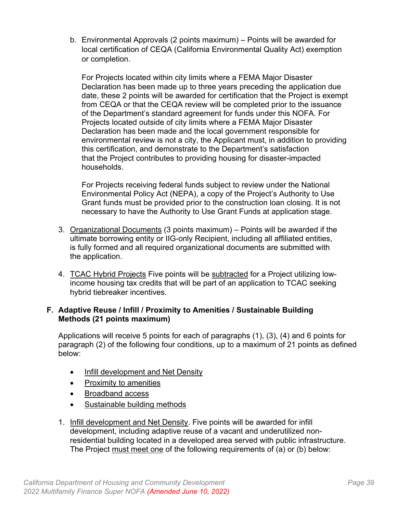b. Environmental Approvals (2 points maximum) – Points will be awarded for local certification of CEQA (California Environmental Quality Act) exemption or completion.

For Projects located within city limits where a FEMA Major Disaster Declaration has been made up to three years preceding the application due date, these 2 points will be awarded for certification that the Project is exempt from CEQA or that the CEQA review will be completed prior to the issuance of the Department's standard agreement for funds under this NOFA. For Projects located outside of city limits where a FEMA Major Disaster Declaration has been made and the local government responsible for environmental review is not a city, the Applicant must, in addition to providing this certification, and demonstrate to the Department's satisfaction that the Project contributes to providing housing for disaster-impacted households.

For Projects receiving federal funds subject to review under the National Environmental Policy Act (NEPA), a copy of the Project's Authority to Use Grant funds must be provided prior to the construction loan closing. It is not necessary to have the Authority to Use Grant Funds at application stage.

- 3. Organizational Documents (3 points maximum) Points will be awarded if the ultimate borrowing entity or IIG-only Recipient, including all affiliated entities, is fully formed and all required organizational documents are submitted with the application.
- 4. TCAC Hybrid Projects Five points will be subtracted for a Project utilizing lowincome housing tax credits that will be part of an application to TCAC seeking hybrid tiebreaker incentives.

#### <span id="page-43-0"></span>**F. Adaptive Reuse / Infill / Proximity to Amenities / Sustainable Building Methods (21 points maximum)**

Applications will receive 5 points for each of paragraphs (1), (3), (4) and 6 points for paragraph (2) of the following four conditions, up to a maximum of 21 points as defined below:

- Infill development and Net Density
- Proximity to amenities
- Broadband access
- Sustainable building methods
- 1. Infill development and Net Density. Five points will be awarded for infill development, including adaptive reuse of a vacant and underutilized nonresidential building located in a developed area served with public infrastructure. The Project must meet one of the following requirements of (a) or (b) below: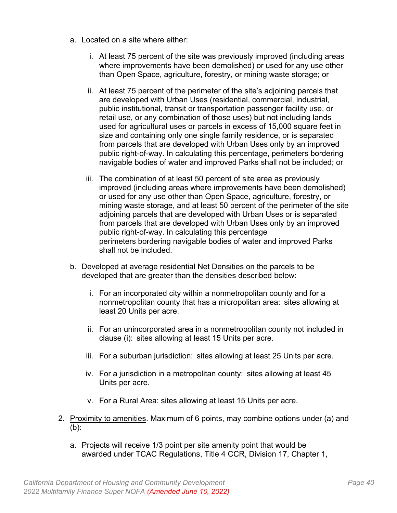- a. Located on a site where either:
	- i. At least 75 percent of the site was previously improved (including areas where improvements have been demolished) or used for any use other than Open Space, agriculture, forestry, or mining waste storage; or
	- ii. At least 75 percent of the perimeter of the site's adjoining parcels that are developed with Urban Uses (residential, commercial, industrial, public institutional, transit or transportation passenger facility use, or retail use, or any combination of those uses) but not including lands used for agricultural uses or parcels in excess of 15,000 square feet in size and containing only one single family residence, or is separated from parcels that are developed with Urban Uses only by an improved public right-of-way. In calculating this percentage, perimeters bordering navigable bodies of water and improved Parks shall not be included; or
	- iii. The combination of at least 50 percent of site area as previously improved (including areas where improvements have been demolished) or used for any use other than Open Space, agriculture, forestry, or mining waste storage, and at least 50 percent of the perimeter of the site adjoining parcels that are developed with Urban Uses or is separated from parcels that are developed with Urban Uses only by an improved public right-of-way. In calculating this percentage perimeters bordering navigable bodies of water and improved Parks shall not be included.
- b. Developed at average residential Net Densities on the parcels to be developed that are greater than the densities described below:
	- i. For an incorporated city within a nonmetropolitan county and for a nonmetropolitan county that has a micropolitan area:  sites allowing at least 20 Units per acre.
	- ii. For an unincorporated area in a nonmetropolitan county not included in clause (i):  sites allowing at least 15 Units per acre.
	- iii. For a suburban jurisdiction:  sites allowing at least 25 Units per acre.
	- iv. For a jurisdiction in a metropolitan county:  sites allowing at least 45 Units per acre.
	- v. For a Rural Area: sites allowing at least 15 Units per acre.
- 2. Proximity to amenities. Maximum of 6 points, may combine options under (a) and (b):
	- a. Projects will receive 1/3 point per site amenity point that would be awarded under TCAC Regulations, Title 4 CCR, Division 17, Chapter 1,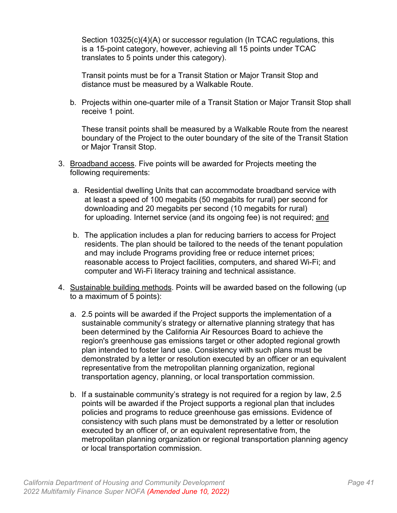Section 10325(c)(4)(A) or successor regulation (In TCAC regulations, this is a 15-point category, however, achieving all 15 points under TCAC translates to 5 points under this category).

Transit points must be for a Transit Station or Major Transit Stop and distance must be measured by a Walkable Route.

b. Projects within one-quarter mile of a Transit Station or Major Transit Stop shall receive 1 point.

These transit points shall be measured by a Walkable Route from the nearest boundary of the Project to the outer boundary of the site of the Transit Station or Major Transit Stop.

- 3. Broadband access. Five points will be awarded for Projects meeting the following requirements:
	- a. Residential dwelling Units that can accommodate broadband service with at least a speed of 100 megabits (50 megabits for rural) per second for downloading and 20 megabits per second (10 megabits for rural) for uploading. Internet service (and its ongoing fee) is not required; and
	- b. The application includes a plan for reducing barriers to access for Project residents. The plan should be tailored to the needs of the tenant population and may include Programs providing free or reduce internet prices; reasonable access to Project facilities, computers, and shared Wi-Fi; and computer and Wi-Fi literacy training and technical assistance.
- 4. Sustainable building methods. Points will be awarded based on the following (up to a maximum of 5 points):
	- a. 2.5 points will be awarded if the Project supports the implementation of a sustainable community's strategy or alternative planning strategy that has been determined by the California Air Resources Board to achieve the region's greenhouse gas emissions target or other adopted regional growth plan intended to foster land use. Consistency with such plans must be demonstrated by a letter or resolution executed by an officer or an equivalent representative from the metropolitan planning organization, regional transportation agency, planning, or local transportation commission.
	- b. If a sustainable community's strategy is not required for a region by law, 2.5 points will be awarded if the Project supports a regional plan that includes policies and programs to reduce greenhouse gas emissions. Evidence of consistency with such plans must be demonstrated by a letter or resolution executed by an officer of, or an equivalent representative from, the metropolitan planning organization or regional transportation planning agency or local transportation commission.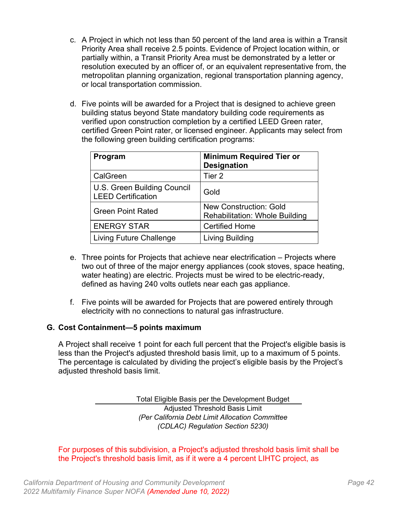- c. A Project in which not less than 50 percent of the land area is within a Transit Priority Area shall receive 2.5 points. Evidence of Project location within, or partially within, a Transit Priority Area must be demonstrated by a letter or resolution executed by an officer of, or an equivalent representative from, the metropolitan planning organization, regional transportation planning agency, or local transportation commission.
- d. Five points will be awarded for a Project that is designed to achieve green building status beyond State mandatory building code requirements as verified upon construction completion by a certified LEED Green rater, certified Green Point rater, or licensed engineer. Applicants may select from the following green building certification programs:

| Program                                                  | <b>Minimum Required Tier or</b><br><b>Designation</b>                  |
|----------------------------------------------------------|------------------------------------------------------------------------|
| CalGreen                                                 | Tier 2                                                                 |
| U.S. Green Building Council<br><b>LEED Certification</b> | Gold                                                                   |
| <b>Green Point Rated</b>                                 | <b>New Construction: Gold</b><br><b>Rehabilitation: Whole Building</b> |
| <b>ENERGY STAR</b>                                       | <b>Certified Home</b>                                                  |
| <b>Living Future Challenge</b>                           | Living Building                                                        |

- e. Three points for Projects that achieve near electrification Projects where two out of three of the major energy appliances (cook stoves, space heating, water heating) are electric. Projects must be wired to be electric-ready, defined as having 240 volts outlets near each gas appliance.
- f. Five points will be awarded for Projects that are powered entirely through electricity with no connections to natural gas infrastructure.

## <span id="page-46-0"></span>**G. Cost Containment—5 points maximum**

A Project shall receive 1 point for each full percent that the Project's eligible basis is less than the Project's adjusted threshold basis limit, up to a maximum of 5 points. The percentage is calculated by dividing the project's eligible basis by the Project's adjusted threshold basis limit.

> Total Eligible Basis per the Development Budget Adjusted Threshold Basis Limit *(Per California Debt Limit Allocation Committee (CDLAC) Regulation Section 5230)*

For purposes of this subdivision, a Project's adjusted threshold basis limit shall be the Project's threshold basis limit, as if it were a 4 percent LIHTC project, as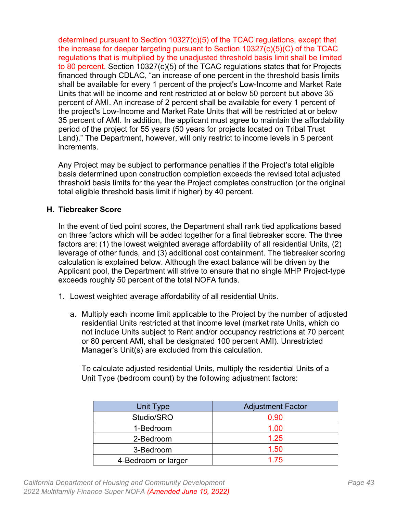determined pursuant to Section 10327(c)(5) of the TCAC regulations, except that the increase for deeper targeting pursuant to Section 10327(c)(5)(C) of the TCAC regulations that is multiplied by the unadjusted threshold basis limit shall be limited to 80 percent. Section 10327(c)(5) of the TCAC regulations states that for Projects financed through CDLAC, "an increase of one percent in the threshold basis limits shall be available for every 1 percent of the project's Low-Income and Market Rate Units that will be income and rent restricted at or below 50 percent but above 35 percent of AMI. An increase of 2 percent shall be available for every 1 percent of the project's Low-Income and Market Rate Units that will be restricted at or below 35 percent of AMI. In addition, the applicant must agree to maintain the affordability period of the project for 55 years (50 years for projects located on Tribal Trust Land)." The Department, however, will only restrict to income levels in 5 percent increments.

Any Project may be subject to performance penalties if the Project's total eligible basis determined upon construction completion exceeds the revised total adjusted threshold basis limits for the year the Project completes construction (or the original total eligible threshold basis limit if higher) by 40 percent.

## <span id="page-47-0"></span>**H. Tiebreaker Score**

In the event of tied point scores, the Department shall rank tied applications based on three factors which will be added together for a final tiebreaker score. The three factors are: (1) the lowest weighted average affordability of all residential Units, (2) leverage of other funds, and (3) additional cost containment. The tiebreaker scoring calculation is explained below. Although the exact balance will be driven by the Applicant pool, the Department will strive to ensure that no single MHP Project-type exceeds roughly 50 percent of the total NOFA funds.

- 1. Lowest weighted average affordability of all residential Units.
	- a. Multiply each income limit applicable to the Project by the number of adjusted residential Units restricted at that income level (market rate Units, which do not include Units subject to Rent and/or occupancy restrictions at 70 percent or 80 percent AMI, shall be designated 100 percent AMI). Unrestricted Manager's Unit(s) are excluded from this calculation.

To calculate adjusted residential Units, multiply the residential Units of a Unit Type (bedroom count) by the following adjustment factors:

| Unit Type           | <b>Adjustment Factor</b> |
|---------------------|--------------------------|
| Studio/SRO          | 0.90                     |
| 1-Bedroom           | 1.00                     |
| 2-Bedroom           | 1.25                     |
| 3-Bedroom           | 1.50                     |
| 4-Bedroom or larger | 1 75                     |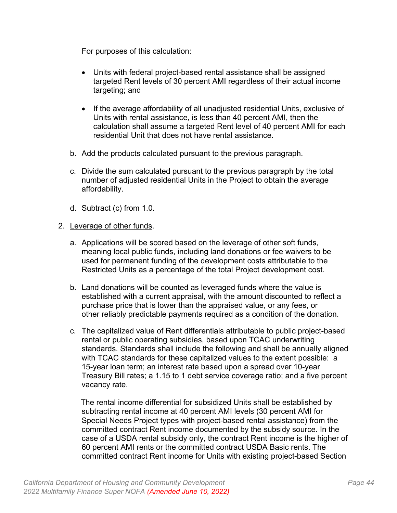For purposes of this calculation:

- Units with federal project-based rental assistance shall be assigned targeted Rent levels of 30 percent AMI regardless of their actual income targeting; and
- If the average affordability of all unadjusted residential Units, exclusive of Units with rental assistance, is less than 40 percent AMI, then the calculation shall assume a targeted Rent level of 40 percent AMI for each residential Unit that does not have rental assistance.
- b. Add the products calculated pursuant to the previous paragraph.
- c. Divide the sum calculated pursuant to the previous paragraph by the total number of adjusted residential Units in the Project to obtain the average affordability.
- d. Subtract (c) from 1.0.

#### 2. Leverage of other funds.

- a. Applications will be scored based on the leverage of other soft funds, meaning local public funds, including land donations or fee waivers to be used for permanent funding of the development costs attributable to the Restricted Units as a percentage of the total Project development cost.
- b. Land donations will be counted as leveraged funds where the value is established with a current appraisal, with the amount discounted to reflect a purchase price that is lower than the appraised value, or any fees, or other reliably predictable payments required as a condition of the donation.
- c. The capitalized value of Rent differentials attributable to public project-based rental or public operating subsidies, based upon TCAC underwriting standards. Standards shall include the following and shall be annually aligned with TCAC standards for these capitalized values to the extent possible: a 15-year loan term; an interest rate based upon a spread over 10-year Treasury Bill rates; a 1.15 to 1 debt service coverage ratio; and a five percent vacancy rate.

 The rental income differential for subsidized Units shall be established by subtracting rental income at 40 percent AMI levels (30 percent AMI for Special Needs Project types with project-based rental assistance) from the committed contract Rent income documented by the subsidy source. In the case of a USDA rental subsidy only, the contract Rent income is the higher of 60 percent AMI rents or the committed contract USDA Basic rents. The committed contract Rent income for Units with existing project-based Section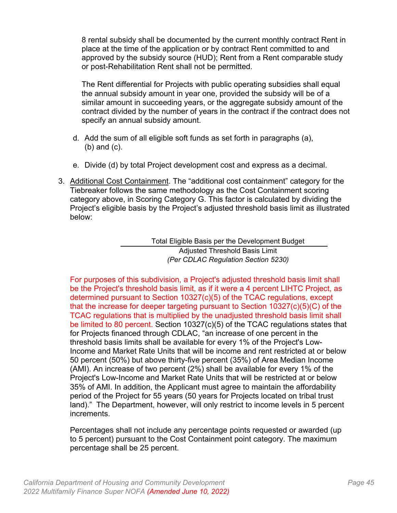8 rental subsidy shall be documented by the current monthly contract Rent in place at the time of the application or by contract Rent committed to and approved by the subsidy source (HUD); Rent from a Rent comparable study or post-Rehabilitation Rent shall not be permitted.

The Rent differential for Projects with public operating subsidies shall equal the annual subsidy amount in year one, provided the subsidy will be of a similar amount in succeeding years, or the aggregate subsidy amount of the contract divided by the number of years in the contract if the contract does not specify an annual subsidy amount.

- d. Add the sum of all eligible soft funds as set forth in paragraphs (a), (b) and (c).
- e. Divide (d) by total Project development cost and express as a decimal.
- 3. Additional Cost Containment. The "additional cost containment" category for the Tiebreaker follows the same methodology as the Cost Containment scoring category above, in Scoring Category G. This factor is calculated by dividing the Project's eligible basis by the Project's adjusted threshold basis limit as illustrated below:

Total Eligible Basis per the Development Budget Adjusted Threshold Basis Limit *(Per CDLAC Regulation Section 5230)*

For purposes of this subdivision, a Project's adjusted threshold basis limit shall be the Project's threshold basis limit, as if it were a 4 percent LIHTC Project, as determined pursuant to Section 10327(c)(5) of the TCAC regulations, except that the increase for deeper targeting pursuant to Section 10327(c)(5)(C) of the TCAC regulations that is multiplied by the unadjusted threshold basis limit shall be limited to 80 percent. Section 10327(c)(5) of the TCAC regulations states that for Projects financed through CDLAC, "an increase of one percent in the threshold basis limits shall be available for every 1% of the Project's Low-Income and Market Rate Units that will be income and rent restricted at or below 50 percent (50%) but above thirty-five percent (35%) of Area Median Income (AMI). An increase of two percent (2%) shall be available for every 1% of the Project's Low-Income and Market Rate Units that will be restricted at or below 35% of AMI. In addition, the Applicant must agree to maintain the affordability period of the Project for 55 years (50 years for Projects located on tribal trust land)." The Department, however, will only restrict to income levels in 5 percent increments.

Percentages shall not include any percentage points requested or awarded (up to 5 percent) pursuant to the Cost Containment point category. The maximum percentage shall be 25 percent.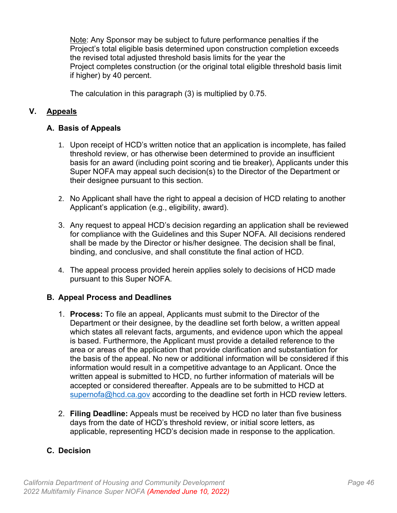Note: Any Sponsor may be subject to future performance penalties if the Project's total eligible basis determined upon construction completion exceeds the revised total adjusted threshold basis limits for the year the Project completes construction (or the original total eligible threshold basis limit if higher) by 40 percent.

The calculation in this paragraph (3) is multiplied by 0.75.

## <span id="page-50-0"></span>**V. Appeals**

## <span id="page-50-1"></span>**A. Basis of Appeals**

- 1. Upon receipt of HCD's written notice that an application is incomplete, has failed threshold review, or has otherwise been determined to provide an insufficient basis for an award (including point scoring and tie breaker), Applicants under this Super NOFA may appeal such decision(s) to the Director of the Department or their designee pursuant to this section.
- 2. No Applicant shall have the right to appeal a decision of HCD relating to another Applicant's application (e.g., eligibility, award).
- 3. Any request to appeal HCD's decision regarding an application shall be reviewed for compliance with the Guidelines and this Super NOFA. All decisions rendered shall be made by the Director or his/her designee. The decision shall be final, binding, and conclusive, and shall constitute the final action of HCD.
- 4. The appeal process provided herein applies solely to decisions of HCD made pursuant to this Super NOFA.

## <span id="page-50-2"></span>**B. Appeal Process and Deadlines**

- 1. **Process:** To file an appeal, Applicants must submit to the Director of the Department or their designee, by the deadline set forth below, a written appeal which states all relevant facts, arguments, and evidence upon which the appeal is based. Furthermore, the Applicant must provide a detailed reference to the area or areas of the application that provide clarification and substantiation for the basis of the appeal. No new or additional information will be considered if this information would result in a competitive advantage to an Applicant. Once the written appeal is submitted to HCD, no further information of materials will be accepted or considered thereafter. Appeals are to be submitted to HCD at [supernofa@hcd.ca.gov](mailto:supernofa@hcd.ca.gov) according to the deadline set forth in HCD review letters.
- 2. **Filing Deadline:** Appeals must be received by HCD no later than five business days from the date of HCD's threshold review, or initial score letters, as applicable, representing HCD's decision made in response to the application.

## <span id="page-50-3"></span>**C. Decision**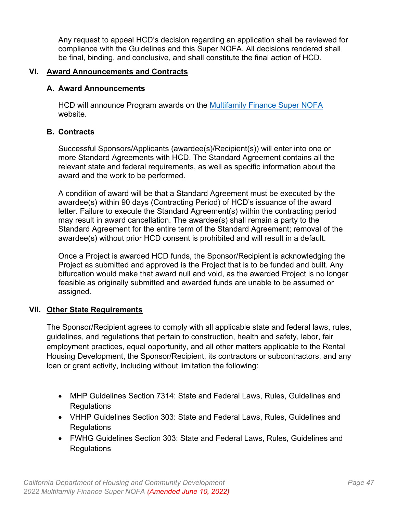Any request to appeal HCD's decision regarding an application shall be reviewed for compliance with the Guidelines and this Super NOFA. All decisions rendered shall be final, binding, and conclusive, and shall constitute the final action of HCD.

#### <span id="page-51-0"></span>**VI. Award Announcements and Contracts**

#### <span id="page-51-1"></span>**A. Award Announcements**

HCD will announce Program awards on the [Multifamily Finance Super NOFA](https://hcd.ca.gov/multifamily-finance-supernofa) website.

## <span id="page-51-2"></span>**B. Contracts**

Successful Sponsors/Applicants (awardee(s)/Recipient(s)) will enter into one or more Standard Agreements with HCD. The Standard Agreement contains all the relevant state and federal requirements, as well as specific information about the award and the work to be performed.

A condition of award will be that a Standard Agreement must be executed by the awardee(s) within 90 days (Contracting Period) of HCD's issuance of the award letter. Failure to execute the Standard Agreement(s) within the contracting period may result in award cancellation. The awardee(s) shall remain a party to the Standard Agreement for the entire term of the Standard Agreement; removal of the awardee(s) without prior HCD consent is prohibited and will result in a default.

Once a Project is awarded HCD funds, the Sponsor/Recipient is acknowledging the Project as submitted and approved is the Project that is to be funded and built. Any bifurcation would make that award null and void, as the awarded Project is no longer feasible as originally submitted and awarded funds are unable to be assumed or assigned.

## <span id="page-51-3"></span>**VII. Other State Requirements**

The Sponsor/Recipient agrees to comply with all applicable state and federal laws, rules, guidelines, and regulations that pertain to construction, health and safety, labor, fair employment practices, equal opportunity, and all other matters applicable to the Rental Housing Development, the Sponsor/Recipient, its contractors or subcontractors, and any loan or grant activity, including without limitation the following:

- MHP Guidelines Section 7314: State and Federal Laws, Rules, Guidelines and **Regulations**
- VHHP Guidelines Section 303: State and Federal Laws, Rules, Guidelines and **Regulations**
- FWHG Guidelines Section 303: State and Federal Laws, Rules, Guidelines and **Regulations**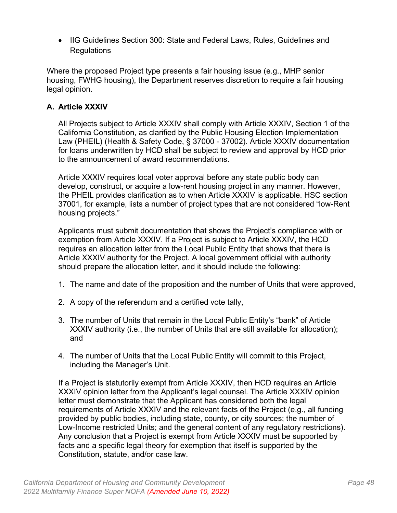• IIG Guidelines Section 300: State and Federal Laws, Rules, Guidelines and **Regulations** 

Where the proposed Project type presents a fair housing issue (e.g., MHP senior housing, FWHG housing), the Department reserves discretion to require a fair housing legal opinion.

## <span id="page-52-0"></span>**A. Article XXXIV**

All Projects subject to Article XXXIV shall comply with Article XXXIV, Section 1 of the California Constitution, as clarified by the Public Housing Election Implementation Law (PHEIL) (Health & Safety Code, § 37000 - 37002). Article XXXIV documentation for loans underwritten by HCD shall be subject to review and approval by HCD prior to the announcement of award recommendations.

Article XXXIV requires local voter approval before any state public body can develop, construct, or acquire a low-rent housing project in any manner. However, the PHEIL provides clarification as to when Article XXXIV is applicable. HSC section 37001, for example, lists a number of project types that are not considered "low-Rent housing projects."

Applicants must submit documentation that shows the Project's compliance with or exemption from Article XXXIV. If a Project is subject to Article XXXIV, the HCD requires an allocation letter from the Local Public Entity that shows that there is Article XXXIV authority for the Project. A local government official with authority should prepare the allocation letter, and it should include the following:

- 1. The name and date of the proposition and the number of Units that were approved,
- 2. A copy of the referendum and a certified vote tally,
- 3. The number of Units that remain in the Local Public Entity's "bank" of Article XXXIV authority (i.e., the number of Units that are still available for allocation); and
- 4. The number of Units that the Local Public Entity will commit to this Project, including the Manager's Unit.

If a Project is statutorily exempt from Article XXXIV, then HCD requires an Article XXXIV opinion letter from the Applicant's legal counsel. The Article XXXIV opinion letter must demonstrate that the Applicant has considered both the legal requirements of Article XXXIV and the relevant facts of the Project (e.g., all funding provided by public bodies, including state, county, or city sources; the number of Low-Income restricted Units; and the general content of any regulatory restrictions). Any conclusion that a Project is exempt from Article XXXIV must be supported by facts and a specific legal theory for exemption that itself is supported by the Constitution, statute, and/or case law.